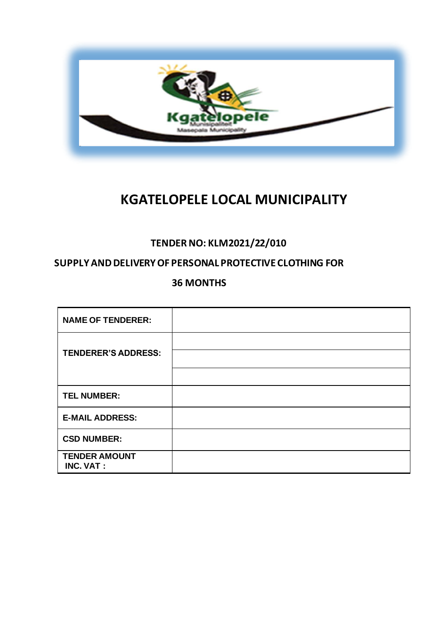

# **KGATELOPELE LOCAL MUNICIPALITY**

# **TENDER NO: KLM2021/22/010**

## **SUPPLY AND DELIVERY OF PERSONAL PROTECTIVE CLOTHING FOR**

**36 MONTHS**

| <b>NAME OF TENDERER:</b>                 |  |
|------------------------------------------|--|
| <b>TENDERER'S ADDRESS:</b>               |  |
|                                          |  |
| <b>TEL NUMBER:</b>                       |  |
| <b>E-MAIL ADDRESS:</b>                   |  |
| <b>CSD NUMBER:</b>                       |  |
| <b>TENDER AMOUNT</b><br><b>INC. VAT:</b> |  |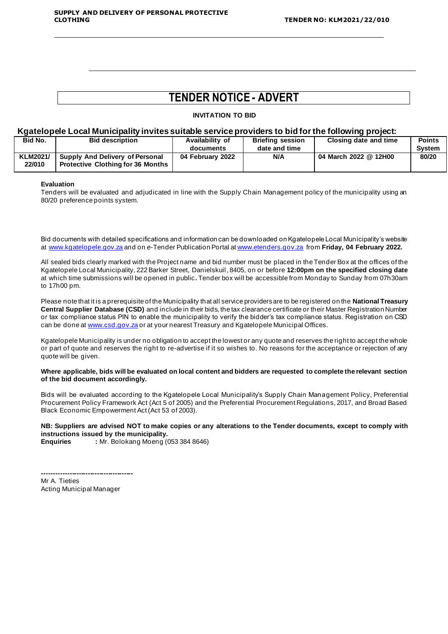# **TENDER NOTICE - ADVERT**

**INVITATION TO BID**

#### **Kgatelopele Local Municipality invites suitable service providers to bid for the following project:**

|                                          |                  |               | __                      |               |
|------------------------------------------|------------------|---------------|-------------------------|---------------|
| <b>Bid description</b>                   | Availability of  |               | Closing date and time   | <b>Points</b> |
|                                          | documents        | date and time |                         | Svstem        |
| <b>Supply And Delivery of Personal</b>   | 04 February 2022 | N/A           | 04 March 2022 @ 12H00   | 80/20         |
| <b>Protective Clothing for 36 Months</b> |                  |               |                         |               |
|                                          |                  |               | <b>Briefing session</b> |               |

#### **Evaluation**

Tenders will be evaluated and adjudicated in line with the Supply Chain Management policy of the municipality using an 80/20 preference points system.

Bid documents with detailed specifications and information can be downloaded on Kgatelopele Local Municipality's website at [www.kgatelopele.gov.za](http://www.kgatelopele.gov.za/) and on e-Tender Publication Portal a[t www.etenders.gov.za](http://www.etenders.gov.za/) from **Friday, 04 February 2022.**

All sealed bids clearly marked with the Project name and bid number must be placed in the Tender Box at the offices of the Kgatelopele Local Municipality, 222 Barker Street, Danielskuil, 8405, on or before **12:00pm on the specified closing date** at which time submissions will be opened in public**.** Tender box will be accessible from Monday to Sunday from 07h30am to 17h00 pm.

Please note that it is a prerequisite of the Municipality that all service providers are to be registered on the **National Treasury Central Supplier Database (CSD)** and include in their bids, the tax clearance certificate or their Master Registration Number or tax compliance status PIN to enable the municipality to verify the bidder's tax compliance status. Registration on CSD can be done a[t www.csd.gov.za](http://www.csd.gov.za/) or at your nearest Treasury and Kgatelopele Municipal Offices.

Kgatelopele Municipality is under no obligation to accept the lowest or any quote and reserves the right to accept the whole or part of quote and reserves the right to re-advertise if it so wishes to. No reasons for the acceptance or rejection of any quote will be given.

**Where applicable, bids will be evaluated on local content and bidders are requested to complete the relevant section of the bid document accordingly.**

Bids will be evaluated according to the Kgatelopele Local Municipality's Supply Chain Management Policy, Preferential Procurement Policy Framework Act (Act 5 of 2005) and the Preferential Procurement Regulations, 2017, and Broad Based Black Economic Empowerment Act (Act 53 of 2003).

**NB: Suppliers are advised NOT to make copies or any alterations to the Tender documents, except to comply with instructions issued by the municipality.**

**Enquiries :** Mr. Bolokang Moeng (053 384 8646)

**----------------------------------------** Mr A. Tieties Acting Municipal Manager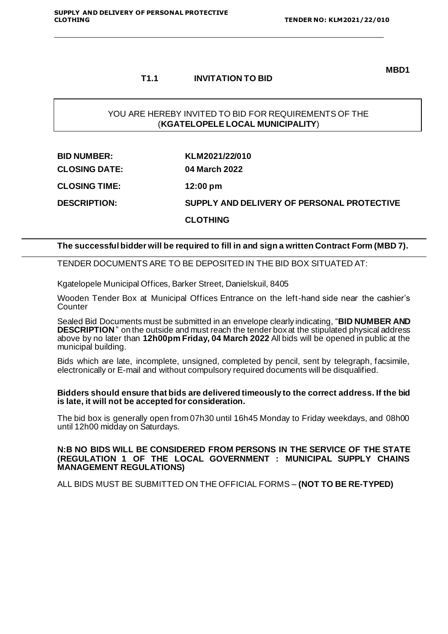#### **MBD1**

#### **T1.1 INVITATION TO BID**

## YOU ARE HEREBY INVITED TO BID FOR REQUIREMENTS OF THE (**KGATELOPELE LOCAL MUNICIPALITY**)

| <b>BID NUMBER:</b>   | KLM2021/22/010                             |
|----------------------|--------------------------------------------|
| <b>CLOSING DATE:</b> | 04 March 2022                              |
| <b>CLOSING TIME:</b> | $12:00 \text{ pm}$                         |
| <b>DESCRIPTION:</b>  | SUPPLY AND DELIVERY OF PERSONAL PROTECTIVE |
|                      | <b>CLOTHING</b>                            |

#### **The successful bidder will be required to fill in and sign a written Contract Form (MBD 7).**

TENDER DOCUMENTS ARE TO BE DEPOSITED IN THE BID BOX SITUATED AT:

Kgatelopele Municipal Offices, Barker Street, Danielskuil, 8405

Wooden Tender Box at Municipal Offices Entrance on the left-hand side near the cashier's Counter

Sealed Bid Documents must be submitted in an envelope clearly indicating, "**BID NUMBER AND DESCRIPTION** " on the outside and must reach the tender box at the stipulated physical address above by no later than **12h00pm Friday, 04 March 2022** All bids will be opened in public at the municipal building.

Bids which are late, incomplete, unsigned, completed by pencil, sent by telegraph, facsimile, electronically or E-mail and without compulsory required documents will be disqualified.

#### **Bidders should ensure that bids are delivered timeously to the correct address. If the bid is late, it will not be accepted for consideration.**

The bid box is generally open from 07h30 until 16h45 Monday to Friday weekdays, and 08h00 until 12h00 midday on Saturdays.

#### **N:B NO BIDS WILL BE CONSIDERED FROM PERSONS IN THE SERVICE OF THE STATE (REGULATION 1 OF THE LOCAL GOVERNMENT : MUNICIPAL SUPPLY CHAINS MANAGEMENT REGULATIONS)**

ALL BIDS MUST BE SUBMITTED ON THE OFFICIAL FORMS – **(NOT TO BE RE-TYPED)**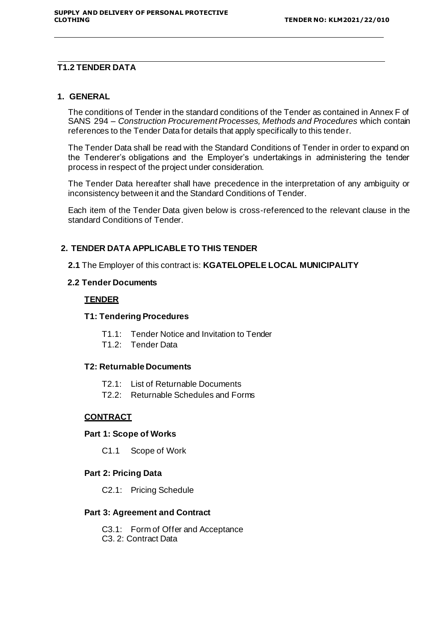#### **T1.2 TENDER DATA**

#### **1. GENERAL**

The conditions of Tender in the standard conditions of the Tender as contained in Annex F of SANS 294 – *Construction Procurement Processes, Methods and Procedures* which contain references to the Tender Data for details that apply specifically to this tender.

The Tender Data shall be read with the Standard Conditions of Tender in order to expand on the Tenderer's obligations and the Employer's undertakings in administering the tender process in respect of the project under consideration.

The Tender Data hereafter shall have precedence in the interpretation of any ambiguity or inconsistency between it and the Standard Conditions of Tender.

Each item of the Tender Data given below is cross-referenced to the relevant clause in the standard Conditions of Tender.

#### **2. TENDER DATA APPLICABLE TO THIS TENDER**

#### **2.1** The Employer of this contract is: **KGATELOPELE LOCAL MUNICIPALITY**

### **2.2 Tender Documents**

#### **TENDER**

#### **T1: Tendering Procedures**

- T1.1: Tender Notice and Invitation to Tender
- T1.2: Tender Data

#### **T2: Returnable Documents**

- T2.1: List of Returnable Documents
- T2.2: Returnable Schedules and Forms

#### **CONTRACT**

#### **Part 1: Scope of Works**

C1.1 Scope of Work

#### **Part 2: Pricing Data**

C2.1: Pricing Schedule

#### **Part 3: Agreement and Contract**

C3.1: Form of Offer and Acceptance C3. 2: Contract Data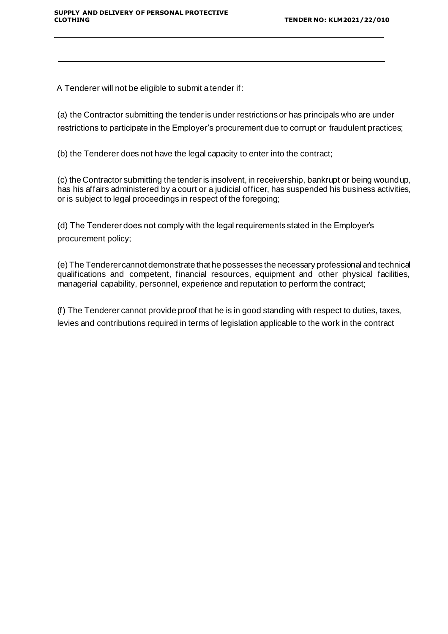A Tenderer will not be eligible to submit a tender if:

(a) the Contractor submitting the tender is under restrictions or has principals who are under restrictions to participate in the Employer's procurement due to corrupt or fraudulent practices;

(b) the Tenderer does not have the legal capacity to enter into the contract;

(c) the Contractor submitting the tender is insolvent, in receivership, bankrupt or being woundup, has his affairs administered by a court or a judicial officer, has suspended his business activities, or is subject to legal proceedings in respect of the foregoing;

(d) The Tenderer does not comply with the legal requirements stated in the Employer's procurement policy;

(e) The Tenderercannot demonstrate that he possesses the necessary professional and technical qualifications and competent, financial resources, equipment and other physical facilities, managerial capability, personnel, experience and reputation to perform the contract;

(f) The Tenderer cannot provide proof that he is in good standing with respect to duties, taxes, levies and contributions required in terms of legislation applicable to the work in the contract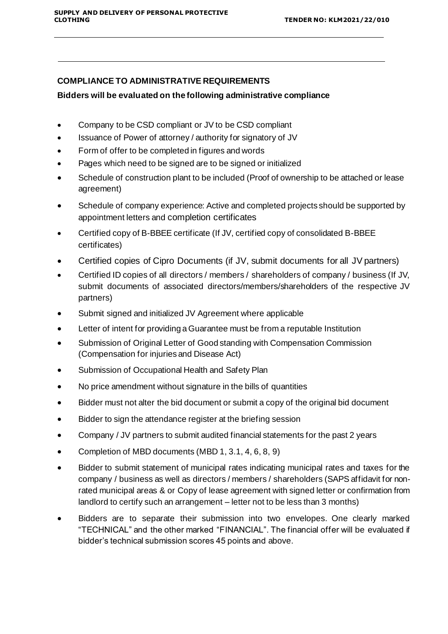## **COMPLIANCE TO ADMINISTRATIVE REQUIREMENTS**

### **Bidders will be evaluated on the following administrative compliance**

- Company to be CSD compliant or JV to be CSD compliant
- Issuance of Power of attorney / authority for signatory of JV
- Form of offer to be completed in figures and words
- Pages which need to be signed are to be signed or initialized
- Schedule of construction plant to be included (Proof of ownership to be attached or lease agreement)
- Schedule of company experience: Active and completed projects should be supported by appointment letters and completion certificates
- Certified copy of B-BBEE certificate (If JV, certified copy of consolidated B-BBEE certificates)
- Certified copies of Cipro Documents (if JV, submit documents for all JV partners)
- Certified ID copies of all directors / members / shareholders of company / business (If JV, submit documents of associated directors/members/shareholders of the respective JV partners)
- Submit signed and initialized JV Agreement where applicable
- Letter of intent for providing a Guarantee must be from a reputable Institution
- Submission of Original Letter of Good standing with Compensation Commission (Compensation for injuries and Disease Act)
- Submission of Occupational Health and Safety Plan
- No price amendment without signature in the bills of quantities
- Bidder must not alter the bid document or submit a copy of the original bid document
- Bidder to sign the attendance register at the briefing session
- Company / JV partners to submit audited financial statements for the past 2 years
- Completion of MBD documents (MBD 1, 3.1, 4, 6, 8, 9)
- Bidder to submit statement of municipal rates indicating municipal rates and taxes for the company / business as well as directors / members / shareholders (SAPS affidavit for nonrated municipal areas & or Copy of lease agreement with signed letter or confirmation from landlord to certify such an arrangement – letter not to be less than 3 months)
- Bidders are to separate their submission into two envelopes. One clearly marked "TECHNICAL" and the other marked "FINANCIAL". The financial offer will be evaluated if bidder's technical submission scores 45 points and above.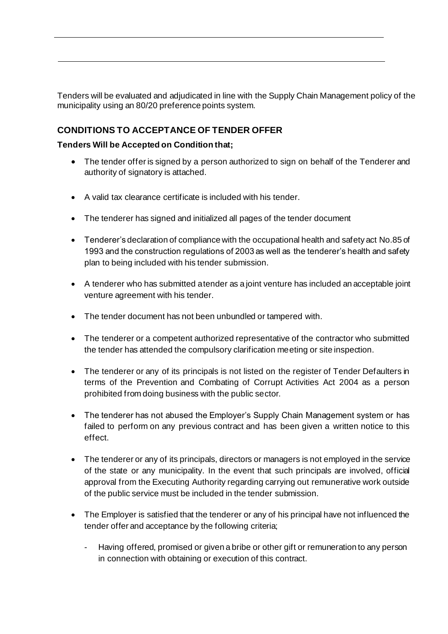Tenders will be evaluated and adjudicated in line with the Supply Chain Management policy of the municipality using an 80/20 preference points system.

## **CONDITIONS TO ACCEPTANCE OF TENDER OFFER**

## **Tenders Will be Accepted on Condition that;**

- The tender offer is signed by a person authorized to sign on behalf of the Tenderer and authority of signatory is attached.
- A valid tax clearance certificate is included with his tender.
- The tenderer has signed and initialized all pages of the tender document
- Tenderer's declaration of compliance with the occupational health and safety act No.85 of 1993 and the construction regulations of 2003 as well as the tenderer's health and safety plan to being included with his tender submission.
- A tenderer who has submitted atender as a joint venture has included an acceptable joint venture agreement with his tender.
- The tender document has not been unbundled or tampered with.
- The tenderer or a competent authorized representative of the contractor who submitted the tender has attended the compulsory clarification meeting or site inspection.
- The tenderer or any of its principals is not listed on the register of Tender Defaulters in terms of the Prevention and Combating of Corrupt Activities Act 2004 as a person prohibited from doing business with the public sector.
- The tenderer has not abused the Employer's Supply Chain Management system or has failed to perform on any previous contract and has been given a written notice to this effect.
- The tenderer or any of its principals, directors or managers is not employed in the service of the state or any municipality. In the event that such principals are involved, official approval from the Executing Authority regarding carrying out remunerative work outside of the public service must be included in the tender submission.
- The Employer is satisfied that the tenderer or any of his principal have not influenced the tender offer and acceptance by the following criteria;
	- Having offered, promised or given a bribe or other gift or remuneration to any person in connection with obtaining or execution of this contract.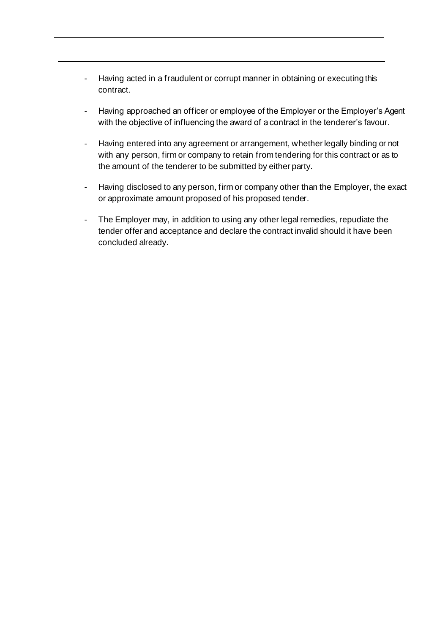- Having acted in a fraudulent or corrupt manner in obtaining or executing this contract.
- Having approached an officer or employee of the Employer or the Employer's Agent with the objective of influencing the award of a contract in the tenderer's favour.
- Having entered into any agreement or arrangement, whether legally binding or not with any person, firm or company to retain from tendering for this contract or as to the amount of the tenderer to be submitted by either party.
- Having disclosed to any person, firm or company other than the Employer, the exact or approximate amount proposed of his proposed tender.
- The Employer may, in addition to using any other legal remedies, repudiate the tender offer and acceptance and declare the contract invalid should it have been concluded already.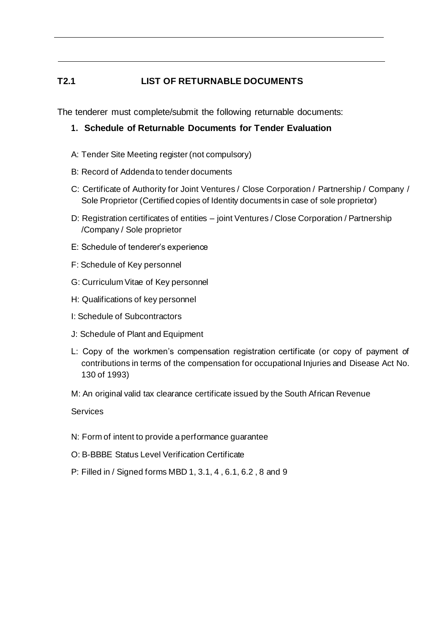## **T2.1 LIST OF RETURNABLE DOCUMENTS**

The tenderer must complete/submit the following returnable documents:

- **1. Schedule of Returnable Documents for Tender Evaluation**
- A: Tender Site Meeting register (not compulsory)
- B: Record of Addenda to tender documents
- C: Certificate of Authority for Joint Ventures / Close Corporation / Partnership / Company / Sole Proprietor (Certified copies of Identity documents in case of sole proprietor)
- D: Registration certificates of entities joint Ventures / Close Corporation / Partnership /Company / Sole proprietor
- E: Schedule of tenderer's experience
- F: Schedule of Key personnel
- G: Curriculum Vitae of Key personnel
- H: Qualifications of key personnel
- I: Schedule of Subcontractors
- J: Schedule of Plant and Equipment
- L: Copy of the workmen's compensation registration certificate (or copy of payment of contributions in terms of the compensation for occupational Injuries and Disease Act No. 130 of 1993)
- M: An original valid tax clearance certificate issued by the South African Revenue

**Services** 

- N: Form of intent to provide a performance guarantee
- O: B-BBBE Status Level Verification Certificate
- P: Filled in / Signed forms MBD 1, 3.1, 4 , 6.1, 6.2 , 8 and 9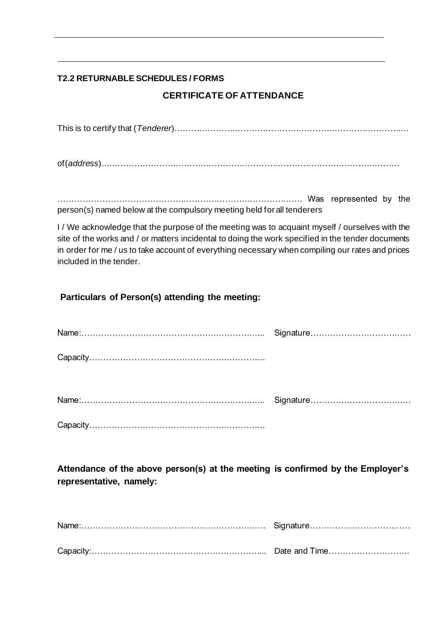## **T2.2 RETURNABLE SCHEDULES / FORMS**

## **CERTIFICATE OF ATTENDANCE**

This is to certify that (*Tenderer*)………………………………………………………………………….

of(*address*)………………………………………………………………………………………………

……………………………………………………………………………. Was represented by the person(s) named below at the compulsory meeting held for all tenderers

I / We acknowledge that the purpose of the meeting was to acquaint myself / ourselves with the site of the works and / or matters incidental to doing the work specified in the tender documents in order for me / us to take account of everything necessary when compiling our rates and prices included in the tender.

## **Particulars of Person(s) attending the meeting:**

**Attendance of the above person(s) at the meeting is confirmed by the Employer's representative, namely:**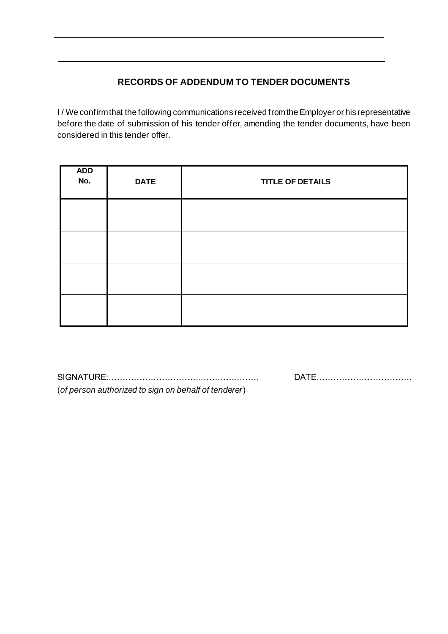## **RECORDS OF ADDENDUM TO TENDER DOCUMENTS**

I / We confirm that the following communications received from the Employer or his representative before the date of submission of his tender offer, amending the tender documents, have been considered in this tender offer.

| <b>ADD</b><br>No. | <b>DATE</b> | <b>TITLE OF DETAILS</b> |
|-------------------|-------------|-------------------------|
|                   |             |                         |
|                   |             |                         |
|                   |             |                         |
|                   |             |                         |

SIGNATURE:……………………………………………… DATE……………………………. (*of person authorized to sign on behalf of tenderer*)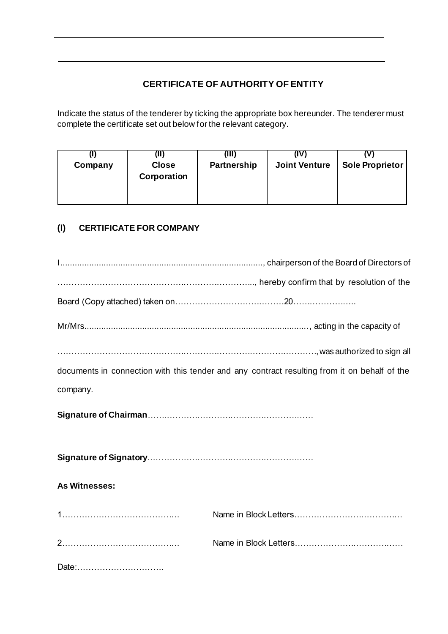## **CERTIFICATE OF AUTHORITY OF ENTITY**

Indicate the status of the tenderer by ticking the appropriate box hereunder. The tenderer must complete the certificate set out below for the relevant category.

| Company | W<br><b>Close</b><br>Corporation | (III)<br>Partnership | (IV)<br><b>Joint Venture</b> | <b>Sole Proprietor</b> |  |
|---------|----------------------------------|----------------------|------------------------------|------------------------|--|
|         |                                  |                      |                              |                        |  |

## **(I) CERTIFICATE FOR COMPANY**

|                      | was authorized to sign all and the sign all                                                  |  |  |  |  |  |  |
|----------------------|----------------------------------------------------------------------------------------------|--|--|--|--|--|--|
|                      | documents in connection with this tender and any contract resulting from it on behalf of the |  |  |  |  |  |  |
| company.             |                                                                                              |  |  |  |  |  |  |
|                      |                                                                                              |  |  |  |  |  |  |
|                      |                                                                                              |  |  |  |  |  |  |
| <b>As Witnesses:</b> |                                                                                              |  |  |  |  |  |  |
|                      |                                                                                              |  |  |  |  |  |  |
|                      |                                                                                              |  |  |  |  |  |  |
| Date:                |                                                                                              |  |  |  |  |  |  |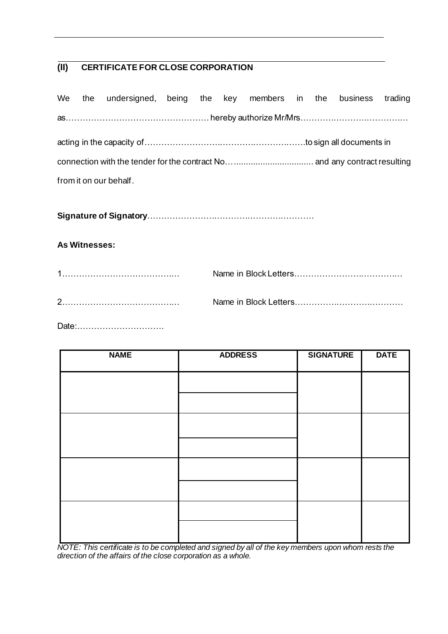## **(II) CERTIFICATE FOR CLOSE CORPORATION**

|  |                        | We the undersigned, being the key members in the business trading |  |  |  |  |  |  |  |  |
|--|------------------------|-------------------------------------------------------------------|--|--|--|--|--|--|--|--|
|  |                        |                                                                   |  |  |  |  |  |  |  |  |
|  |                        |                                                                   |  |  |  |  |  |  |  |  |
|  |                        |                                                                   |  |  |  |  |  |  |  |  |
|  | from it on our behalf. |                                                                   |  |  |  |  |  |  |  |  |

**Signature of Signatory**……………………………………………………

## **As Witnesses:**

| 1 |  |
|---|--|
| ◠ |  |

Date:………………………….

| <b>NAME</b> | <b>ADDRESS</b> | <b>SIGNATURE</b> | <b>DATE</b> |
|-------------|----------------|------------------|-------------|
|             |                |                  |             |
|             |                |                  |             |
|             |                |                  |             |
|             |                |                  |             |
|             |                |                  |             |
|             |                |                  |             |
|             |                |                  |             |
|             |                |                  |             |

*NOTE: This certificate is to be completed and signed by all of the key members upon whom rests the direction of the affairs of the close corporation as a whole.*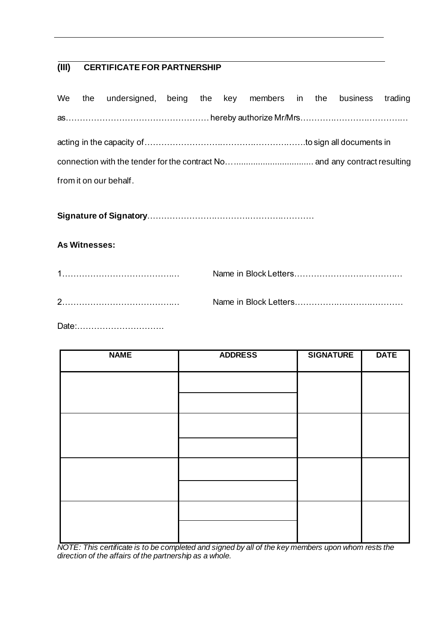## **(III) CERTIFICATE FOR PARTNERSHIP**

|  |                        | We the undersigned, being the key members in the business trading |  |  |  |  |  |  |  |  |  |
|--|------------------------|-------------------------------------------------------------------|--|--|--|--|--|--|--|--|--|
|  |                        |                                                                   |  |  |  |  |  |  |  |  |  |
|  |                        |                                                                   |  |  |  |  |  |  |  |  |  |
|  |                        |                                                                   |  |  |  |  |  |  |  |  |  |
|  | from it on our behalf. |                                                                   |  |  |  |  |  |  |  |  |  |

**Signature of Signatory**……………………………………………………

## **As Witnesses:**

| $\overline{1}$ |  |
|----------------|--|
| C              |  |

Date:………………………….

| <b>NAME</b> | <b>ADDRESS</b> | <b>SIGNATURE</b> | <b>DATE</b> |
|-------------|----------------|------------------|-------------|
|             |                |                  |             |
|             |                |                  |             |
|             |                |                  |             |
|             |                |                  |             |
|             |                |                  |             |
|             |                |                  |             |
|             |                |                  |             |
|             |                |                  |             |

*NOTE: This certificate is to be completed and signed by all of the key members upon whom rests the direction of the affairs of the partnership as a whole.*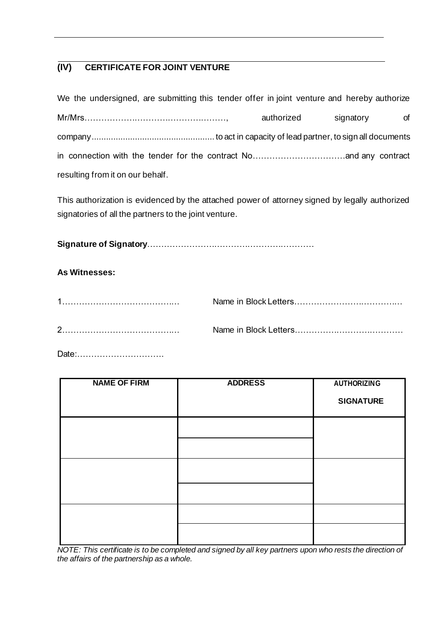## **(IV) CERTIFICATE FOR JOINT VENTURE**

| We the undersigned, are submitting this tender offer in joint venture and hereby authorize |            |           |    |
|--------------------------------------------------------------------------------------------|------------|-----------|----|
|                                                                                            | authorized | signatory | of |
|                                                                                            |            |           |    |
|                                                                                            |            |           |    |
| resulting from it on our behalf.                                                           |            |           |    |

This authorization is evidenced by the attached power of attorney signed by legally authorized signatories of all the partners to the joint venture.

**Signature of Signatory**……………………………………………………

## **As Witnesses:**

Date:………………………….

| <b>NAME OF FIRM</b> | <b>ADDRESS</b> | <b>AUTHORIZING</b><br><b>SIGNATURE</b> |
|---------------------|----------------|----------------------------------------|
|                     |                |                                        |
|                     |                |                                        |
|                     |                |                                        |

*NOTE: This certificate is to be completed and signed by all key partners upon who rests the direction of the affairs of the partnership as a whole.*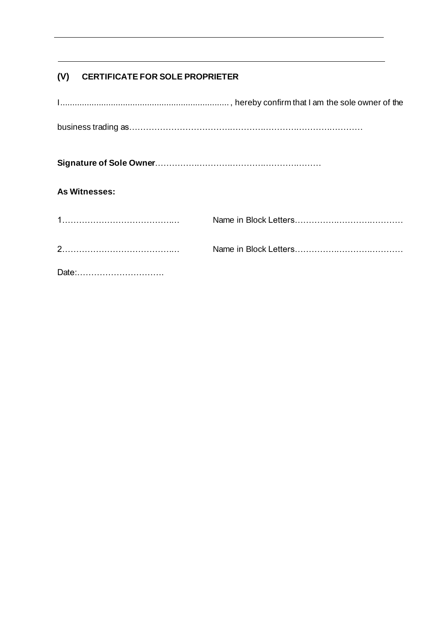## **(V) CERTIFICATE FOR SOLE PROPRIETER**

| <b>As Witnesses:</b> |  |
|----------------------|--|
|                      |  |
|                      |  |
| Date:                |  |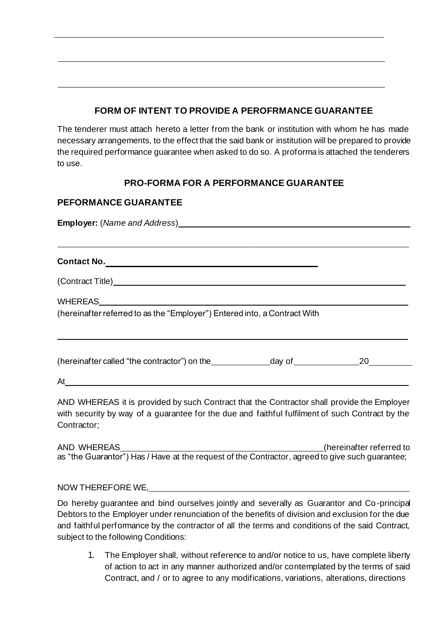## **FORM OF INTENT TO PROVIDE A PEROFRMANCE GUARANTEE**

The tenderer must attach hereto a letter from the bank or institution with whom he has made necessary arrangements, to the effect that the said bank or institution will be prepared to provide the required performance guarantee when asked to do so. A proforma is attached the tenderers to use.

## **PRO-FORMA FOR A PERFORMANCE GUARANTEE**

## **PEFORMANCE GUARANTEE**

**Employer:** (*Name and Address*)

**Contact No.**

(Contract Title)

WHEREAS

(hereinafter referred to as the "Employer") Entered into, a Contract With

(hereinafter called "the contractor") on the  $\qquad \qquad$  day of  $\qquad \qquad \qquad 20$ 

At

AND WHEREAS it is provided by such Contract that the Contractor shall provide the Employer with security by way of a guarantee for the due and faithful fulfilment of such Contract by the Contractor;

AND WHEREAS (hereinafter referred to as "the Guarantor") Has / Have at the request of the Contractor, agreed to give such guarantee;

NOW THEREFORE WE,

Do hereby guarantee and bind ourselves jointly and severally as Guarantor and Co-principal Debtors to the Employer under renunciation of the benefits of division and exclusion for the due and faithful performance by the contractor of all the terms and conditions of the said Contract, subject to the following Conditions:

1. The Employer shall, without reference to and/or notice to us, have complete liberty of action to act in any manner authorized and/or contemplated by the terms of said Contract, and / or to agree to any modifications, variations, alterations, directions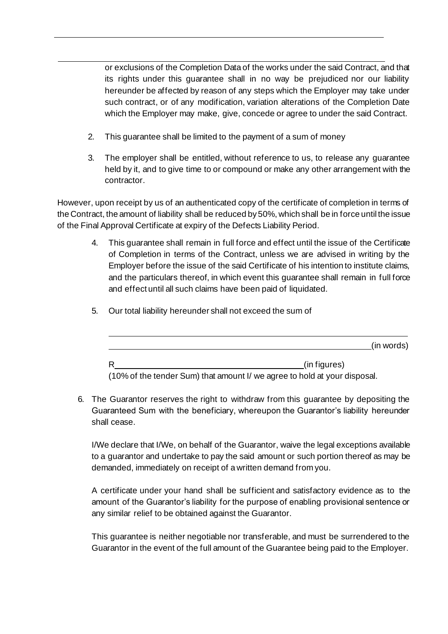or exclusions of the Completion Data of the works under the said Contract, and that its rights under this guarantee shall in no way be prejudiced nor our liability hereunder be affected by reason of any steps which the Employer may take under such contract, or of any modification, variation alterations of the Completion Date which the Employer may make, give, concede or agree to under the said Contract.

- 2. This guarantee shall be limited to the payment of a sum of money
- 3. The employer shall be entitled, without reference to us, to release any guarantee held by it, and to give time to or compound or make any other arrangement with the contractor.

However, upon receipt by us of an authenticated copy of the certificate of completion in terms of the Contract, the amount of liability shall be reduced by 50%, which shall be in force until the issue of the Final Approval Certificate at expiry of the Defects Liability Period.

- 4. This guarantee shall remain in full force and effect until the issue of the Certificate of Completion in terms of the Contract, unless we are advised in writing by the Employer before the issue of the said Certificate of his intention to institute claims, and the particulars thereof, in which event this guarantee shall remain in full force and effect until all such claims have been paid of liquidated.
	- (in words) R
	(in figures)
- 5. Our total liability hereunder shall not exceed the sum of

(10% of the tender Sum) that amount I/ we agree to hold at your disposal.

6. The Guarantor reserves the right to withdraw from this guarantee by depositing the Guaranteed Sum with the beneficiary, whereupon the Guarantor's liability hereunder shall cease.

I/We declare that I/We, on behalf of the Guarantor, waive the legal exceptions available to a guarantor and undertake to pay the said amount or such portion thereof as may be demanded, immediately on receipt of a written demand from you.

A certificate under your hand shall be sufficient and satisfactory evidence as to the amount of the Guarantor's liability for the purpose of enabling provisional sentence or any similar relief to be obtained against the Guarantor.

This guarantee is neither negotiable nor transferable, and must be surrendered to the Guarantor in the event of the full amount of the Guarantee being paid to the Employer.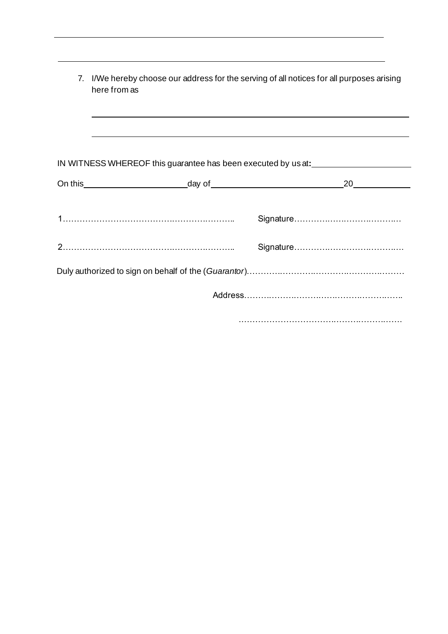| 7. | I/We hereby choose our address for the serving of all notices for all purposes arising<br>here from as |  |
|----|--------------------------------------------------------------------------------------------------------|--|
|    | IN WITNESS WHEREOF this guarantee has been executed by us at:                                          |  |
|    |                                                                                                        |  |
|    |                                                                                                        |  |
|    |                                                                                                        |  |
|    |                                                                                                        |  |
|    |                                                                                                        |  |

.………………………………………………….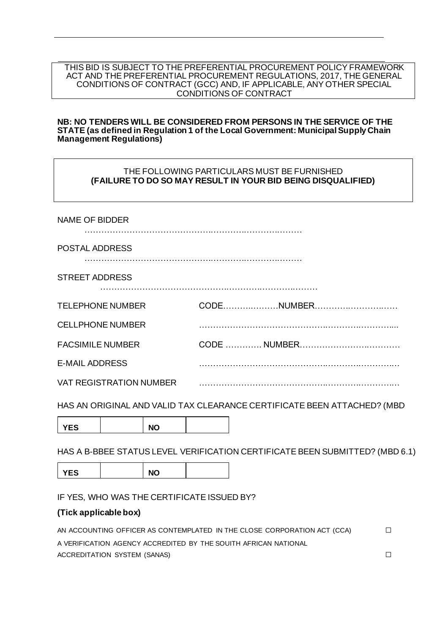#### THIS BID IS SUBJECT TO THE PREFERENTIAL PROCUREMENT POLICY FRAMEWORK ACT AND THE PREFERENTIAL PROCUREMENT REGULATIONS, 2017, THE GENERAL CONDITIONS OF CONTRACT (GCC) AND, IF APPLICABLE, ANY OTHER SPECIAL CONDITIONS OF CONTRACT

#### **NB: NO TENDERS WILL BE CONSIDERED FROM PERSONS IN THE SERVICE OF THE STATE (as defined in Regulation 1 of the Local Government: Municipal Supply Chain Management Regulations)**

## THE FOLLOWING PARTICULARS MUST BE FURNISHED **(FAILURE TO DO SO MAY RESULT IN YOUR BID BEING DISQUALIFIED)**

| <b>NAME OF BIDDER</b>          |            |
|--------------------------------|------------|
| POSTAL ADDRESS                 |            |
| <b>STREET ADDRESS</b>          |            |
| <b>TELEPHONE NUMBER</b>        | CODENUMBER |
| <b>CELLPHONE NUMBER</b>        |            |
| <b>FACSIMILE NUMBER</b>        |            |
| <b>E-MAIL ADDRESS</b>          |            |
| <b>VAT REGISTRATION NUMBER</b> |            |

HAS AN ORIGINAL AND VALID TAX CLEARANCE CERTIFICATE BEEN ATTACHED? (MBD

YES | NO

HAS A B-BBEE STATUS LEVEL VERIFICATION CERTIFICATE BEEN SUBMITTED? (MBD 6.1)

YES **NO** 

IF YES, WHO WAS THE CERTIFICATE ISSUED BY?

## **(Tick applicable box)**

| AN ACCOUNTING OFFICER AS CONTEMPLATED IN THE CLOSE CORPORATION ACT (CCA) | П. |
|--------------------------------------------------------------------------|----|
| A VERIFICATION AGENCY ACCREDITED BY THE SOUITH AFRICAN NATIONAL          |    |
| ACCREDITATION SYSTEM (SANAS)                                             |    |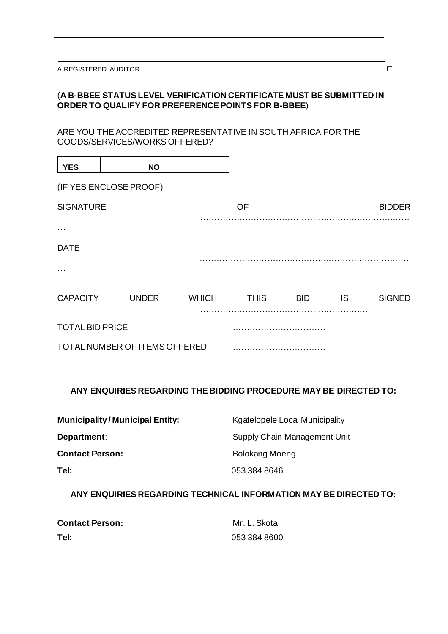## (**A B-BBEE STATUS LEVEL VERIFICATION CERTIFICATE MUST BE SUBMITTED IN ORDER TO QUALIFY FOR PREFERENCE POINTS FOR B-BBEE**)

ARE YOU THE ACCREDITED REPRESENTATIVE IN SOUTH AFRICA FOR THE GOODS/SERVICES/WORKS OFFERED?

| <b>YES</b>                    | <b>NO</b>    |              |             |            |     |               |
|-------------------------------|--------------|--------------|-------------|------------|-----|---------------|
| (IF YES ENCLOSE PROOF)        |              |              |             |            |     |               |
| <b>SIGNATURE</b>              |              |              | OF          |            |     | <b>BIDDER</b> |
| $\cdots$                      |              |              |             |            |     |               |
| <b>DATE</b>                   |              |              |             |            |     |               |
| $\cdots$                      |              |              |             |            |     |               |
| <b>CAPACITY</b>               | <b>UNDER</b> | <b>WHICH</b> | <b>THIS</b> | <b>BID</b> | IS. | <b>SIGNED</b> |
| <b>TOTAL BID PRICE</b>        |              |              |             |            |     |               |
| TOTAL NUMBER OF ITEMS OFFERED |              |              |             |            |     |               |

## **ANY ENQUIRIES REGARDING THE BIDDING PROCEDURE MAY BE DIRECTED TO:**

| <b>Municipality/Municipal Entity:</b> | <b>Kgatelopele Local Municipality</b> |
|---------------------------------------|---------------------------------------|
| Department:                           | Supply Chain Management Unit          |
| <b>Contact Person:</b>                | Bolokang Moeng                        |
| Tel:                                  | 053 384 8646                          |

**ANY ENQUIRIES REGARDING TECHNICAL INFORMATION MAY BE DIRECTED TO:**

| <b>Contact Person:</b> | Mr. L. Skota |
|------------------------|--------------|
| Tel:                   | 053 384 8600 |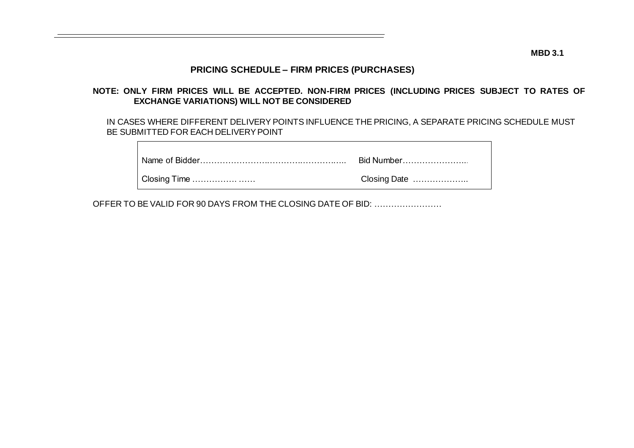**MBD 3.1**

## **PRICING SCHEDULE – FIRM PRICES (PURCHASES)**

## **NOTE: ONLY FIRM PRICES WILL BE ACCEPTED. NON-FIRM PRICES (INCLUDING PRICES SUBJECT TO RATES OF EXCHANGE VARIATIONS) WILL NOT BE CONSIDERED**

IN CASES WHERE DIFFERENT DELIVERY POINTS INFLUENCE THE PRICING, A SEPARATE PRICING SCHEDULE MUST BE SUBMITTED FOR EACH DELIVERY POINT

|              | Bid Number   |
|--------------|--------------|
| Closing Time | Closing Date |

OFFER TO BE VALID FOR 90 DAYS FROM THE CLOSING DATE OF BID: ……………………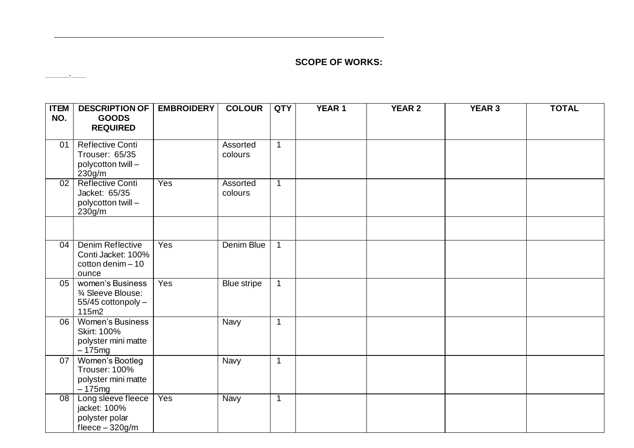## **SCOPE OF WORKS:**

**\_\_\_\_\_\_\_\_\_\_-\_\_\_\_\_\_**

| <b>ITEM</b><br>NO. | <b>DESCRIPTION OF</b><br><b>GOODS</b>                                            | <b>EMBROIDERY</b> | <b>COLOUR</b>       | <b>QTY</b>   | <b>YEAR 1</b> | <b>YEAR 2</b> | <b>YEAR 3</b> | <b>TOTAL</b> |
|--------------------|----------------------------------------------------------------------------------|-------------------|---------------------|--------------|---------------|---------------|---------------|--------------|
|                    | <b>REQUIRED</b>                                                                  |                   |                     |              |               |               |               |              |
| 01                 | <b>Reflective Conti</b><br>Trouser: 65/35<br>polycotton twill -<br>230g/m        |                   | Assorted<br>colours | $\mathbf{1}$ |               |               |               |              |
| 02                 | <b>Reflective Conti</b><br>Jacket: 65/35<br>polycotton twill -<br>230g/m         | Yes               | Assorted<br>colours | $\mathbf 1$  |               |               |               |              |
|                    |                                                                                  |                   |                     |              |               |               |               |              |
| 04                 | <b>Denim Reflective</b><br>Conti Jacket: 100%<br>cotton denim $-10$<br>ounce     | Yes               | Denim Blue          | 1            |               |               |               |              |
| 05                 | women's Business<br>3⁄4 Sleeve Blouse:<br>55/45 cottonpoly -<br>115m2            | Yes               | Blue stripe         | $\mathbf{1}$ |               |               |               |              |
| 06                 | <b>Women's Business</b><br><b>Skirt: 100%</b><br>polyster mini matte<br>$-175mg$ |                   | Navy                | $\mathbf{1}$ |               |               |               |              |
| 07                 | Women's Bootleg<br>Trouser: 100%<br>polyster mini matte<br>$-175mg$              |                   | Navy                | $\mathbf{1}$ |               |               |               |              |
| 08                 | Long sleeve fleece<br>jacket: 100%<br>polyster polar<br>fleece $-320$ g/m        | Yes               | <b>Navy</b>         | 1            |               |               |               |              |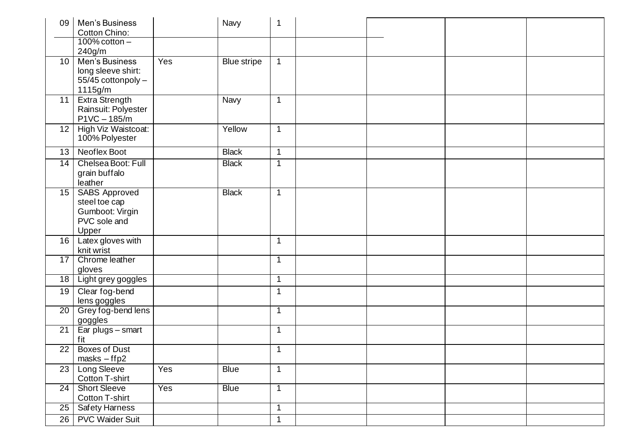| 09              | Men's Business<br>Cotton Chino:<br>$100\%$ cotton $-$                                    |     | Navy               | 1            |  |  |
|-----------------|------------------------------------------------------------------------------------------|-----|--------------------|--------------|--|--|
| 10              | 240g/m<br>Men's Business<br>long sleeve shirt:<br>55/45 cottonpoly -<br>1115g/m          | Yes | <b>Blue stripe</b> | $\mathbf{1}$ |  |  |
| 11              | <b>Extra Strength</b><br>Rainsuit: Polyester<br>$P1VC - 185/m$                           |     | Navy               | $\mathbf{1}$ |  |  |
| 12              | High Viz Waistcoat:<br>100% Polyester                                                    |     | Yellow             | $\mathbf{1}$ |  |  |
| 13              | Neoflex Boot                                                                             |     | <b>Black</b>       | $\mathbf{1}$ |  |  |
| 14              | Chelsea Boot: Full<br>grain buffalo<br>leather                                           |     | <b>Black</b>       | $\mathbf{1}$ |  |  |
| 15 <sup>1</sup> | <b>SABS Approved</b><br>steel toe cap<br>Gumboot: Virgin<br>PVC sole and<br><b>Upper</b> |     | <b>Black</b>       | $\mathbf 1$  |  |  |
|                 | 16   Latex gloves with<br>knit wrist                                                     |     |                    | $\mathbf{1}$ |  |  |
| 17              | Chrome leather<br>gloves                                                                 |     |                    | 1            |  |  |
| 18              | Light grey goggles                                                                       |     |                    | $\mathbf 1$  |  |  |
| 19              | Clear fog-bend<br>lens goggles                                                           |     |                    | $\mathbf{1}$ |  |  |
| $\overline{20}$ | Grey fog-bend lens<br>goggles                                                            |     |                    | 1            |  |  |
| $\overline{21}$ | Ear plugs - smart<br>fit                                                                 |     |                    | 1            |  |  |
| $\overline{22}$ | <b>Boxes of Dust</b><br>$masks - ffp2$                                                   |     |                    | $\mathbf 1$  |  |  |
| 23              | Long Sleeve<br>Cotton T-shirt                                                            | Yes | <b>Blue</b>        | $\mathbf{1}$ |  |  |
| $\overline{24}$ | <b>Short Sleeve</b><br>Cotton T-shirt                                                    | Yes | <b>Blue</b>        | $\mathbf{1}$ |  |  |
| 25              | <b>Safety Harness</b>                                                                    |     |                    | $\mathbf 1$  |  |  |
| 26              | <b>PVC Waider Suit</b>                                                                   |     |                    | $\mathbf{1}$ |  |  |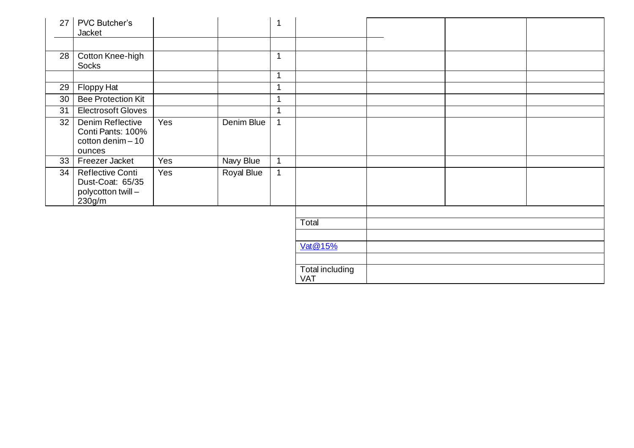| 27              | <b>PVC Butcher's</b><br>Jacket                                              |     |                   |              |                               |  |  |
|-----------------|-----------------------------------------------------------------------------|-----|-------------------|--------------|-------------------------------|--|--|
| 28              | Cotton Knee-high<br>Socks                                                   |     |                   | 1            |                               |  |  |
|                 |                                                                             |     |                   | 1            |                               |  |  |
| 29              | Floppy Hat                                                                  |     |                   | 1            |                               |  |  |
| 30 <sup>1</sup> | <b>Bee Protection Kit</b>                                                   |     |                   | 1            |                               |  |  |
| $\overline{31}$ | <b>Electrosoft Gloves</b>                                                   |     |                   | 1            |                               |  |  |
| 32              | Denim Reflective<br>Conti Pants: 100%<br>$\cot$ ton denim - 10<br>ounces    | Yes | Denim Blue        | $\mathbf{1}$ |                               |  |  |
|                 | 33   Freezer Jacket                                                         | Yes | Navy Blue         | $\mathbf{1}$ |                               |  |  |
| 34              | <b>Reflective Conti</b><br>Dust-Coat: 65/35<br>polycotton twill -<br>230g/m | Yes | <b>Royal Blue</b> | $\mathbf{1}$ |                               |  |  |
|                 |                                                                             |     |                   |              |                               |  |  |
|                 |                                                                             |     |                   |              | <b>Total</b>                  |  |  |
|                 |                                                                             |     |                   |              |                               |  |  |
|                 |                                                                             |     |                   |              | Vat@15%                       |  |  |
|                 |                                                                             |     |                   |              |                               |  |  |
|                 |                                                                             |     |                   |              | Total including<br><b>VAT</b> |  |  |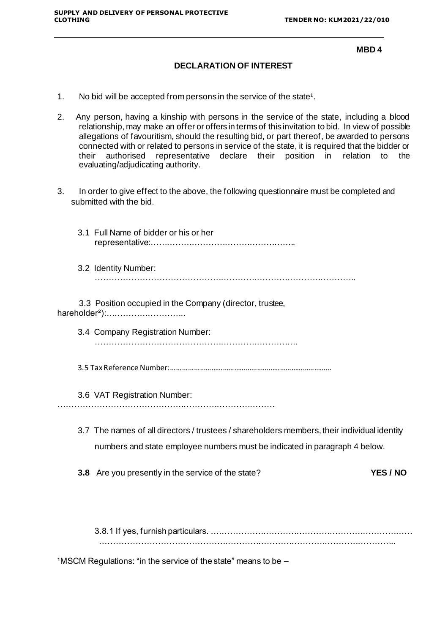#### **MBD 4**

#### **DECLARATION OF INTEREST**

- 1. No bid will be accepted from persons in the service of the state<sup>1</sup>.
- 2. Any person, having a kinship with persons in the service of the state, including a blood relationship, may make an offer or offers in terms of this invitation to bid. In view of possible allegations of favouritism, should the resulting bid, or part thereof, be awarded to persons connected with or related to persons in service of the state, it is required that the bidder or<br>their authorised representative declare their position in relation to the their authorised representative declare their position in evaluating/adjudicating authority.
- 3. In order to give effect to the above, the following questionnaire must be completed and submitted with the bid.

|  | 3.1 Full Name of bidder or his or her                                                                                                                                     |
|--|---------------------------------------------------------------------------------------------------------------------------------------------------------------------------|
|  | 3.2 Identity Number:                                                                                                                                                      |
|  | 3.3 Position occupied in the Company (director, trustee,<br>hareholder <sup>2</sup> ):                                                                                    |
|  | 3.4 Company Registration Number:                                                                                                                                          |
|  |                                                                                                                                                                           |
|  | 3.6 VAT Registration Number:                                                                                                                                              |
|  | 3.7 The names of all directors / trustees / shareholders members, their individual identity<br>numbers and state employee numbers must be indicated in paragraph 4 below. |
|  | 3.8 Are you presently in the service of the state?<br><b>YES / NO</b>                                                                                                     |
|  |                                                                                                                                                                           |
|  |                                                                                                                                                                           |

 $1$ MSCM Regulations: "in the service of the state" means to be  $-$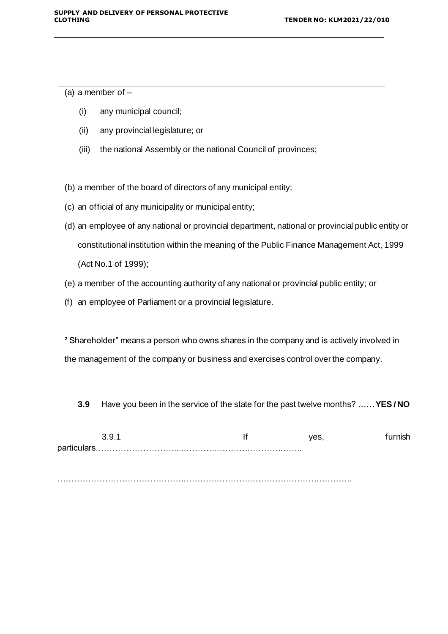(a) a member of  $-$ 

- (i) any municipal council;
- (ii) any provincial legislature; or
- (iii) the national Assembly or the national Council of provinces;

(b) a member of the board of directors of any municipal entity;

- (c) an official of any municipality or municipal entity;
- (d) an employee of any national or provincial department, national or provincial public entity or constitutional institution within the meaning of the Public Finance Management Act, 1999 (Act No.1 of 1999);
- (e) a member of the accounting authority of any national or provincial public entity; or
- (f) an employee of Parliament or a provincial legislature.

<sup>2</sup> Shareholder" means a person who owns shares in the company and is actively involved in the management of the company or business and exercises control over the company.

**3.9** Have you been in the service of the state for the past twelve months? ……**YES / NO**

| partic |  |  |
|--------|--|--|

…………………………………………………………………………………………….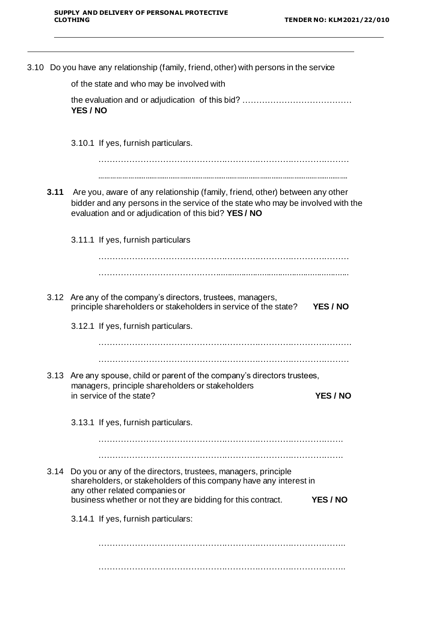$\overline{a}$ 

|      | 3.10 Do you have any relationship (family, friend, other) with persons in the service                                                                                                                                  |          |
|------|------------------------------------------------------------------------------------------------------------------------------------------------------------------------------------------------------------------------|----------|
|      | of the state and who may be involved with                                                                                                                                                                              |          |
|      | YES / NO                                                                                                                                                                                                               |          |
|      | 3.10.1 If yes, furnish particulars.                                                                                                                                                                                    |          |
| 3.11 | Are you, aware of any relationship (family, friend, other) between any other<br>bidder and any persons in the service of the state who may be involved with the<br>evaluation and or adjudication of this bid? YES/ NO |          |
|      | 3.11.1 If yes, furnish particulars                                                                                                                                                                                     |          |
|      | 3.12 Are any of the company's directors, trustees, managers,<br>principle shareholders or stakeholders in service of the state?                                                                                        | YES / NO |
|      | 3.12.1 If yes, furnish particulars.                                                                                                                                                                                    |          |
|      |                                                                                                                                                                                                                        |          |
|      | 3.13 Are any spouse, child or parent of the company's directors trustees,<br>managers, principle shareholders or stakeholders<br>in service of the state?                                                              | YES / NO |
|      | 3.13.1 If yes, furnish particulars.                                                                                                                                                                                    |          |
|      | 3.14 Do you or any of the directors, trustees, managers, principle<br>shareholders, or stakeholders of this company have any interest in                                                                               |          |
|      | any other related companies or<br>business whether or not they are bidding for this contract.                                                                                                                          | YES / NO |
|      | 3.14.1 If yes, furnish particulars:                                                                                                                                                                                    |          |
|      |                                                                                                                                                                                                                        |          |
|      |                                                                                                                                                                                                                        |          |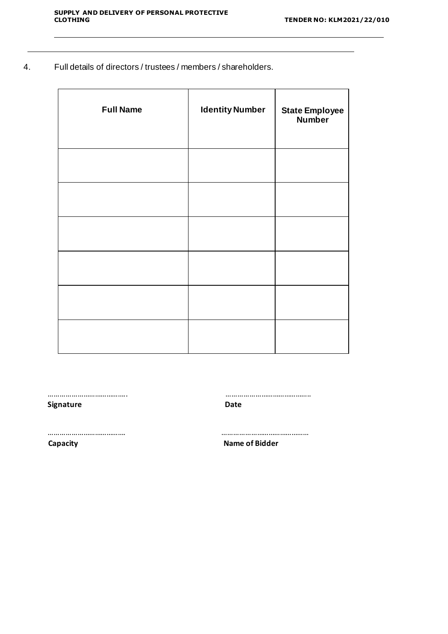$\overline{\phantom{a}}$ 

4. Full details of directors / trustees / members / shareholders.

| <b>Full Name</b> | <b>Identity Number</b> | <b>State Employee</b><br><b>Number</b> |
|------------------|------------------------|----------------------------------------|
|                  |                        |                                        |
|                  |                        |                                        |
|                  |                        |                                        |
|                  |                        |                                        |
|                  |                        |                                        |
|                  |                        |                                        |

| <b>Signature</b> | Date                  |
|------------------|-----------------------|
|                  |                       |
| Capacity         | <b>Name of Bidder</b> |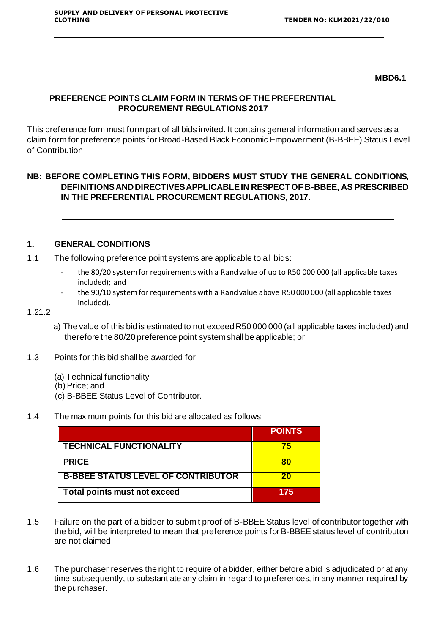#### **MBD6.1**

## **PREFERENCE POINTS CLAIM FORM IN TERMS OF THE PREFERENTIAL PROCUREMENT REGULATIONS 2017**

This preference form must form part of all bids invited. It contains general information and serves as a claim form for preference points for Broad-Based Black Economic Empowerment (B-BBEE) Status Level of Contribution

## **NB: BEFORE COMPLETING THIS FORM, BIDDERS MUST STUDY THE GENERAL CONDITIONS, DEFINITIONS AND DIRECTIVES APPLICABLE IN RESPECT OF B-BBEE, AS PRESCRIBED IN THE PREFERENTIAL PROCUREMENT REGULATIONS, 2017.**

#### **1. GENERAL CONDITIONS**

- 1.1 The following preference point systems are applicable to all bids:
	- the 80/20 system for requirements with a Rand value of up to R50 000 000 (all applicable taxes included); and
	- the 90/10 system for requirements with a Rand value above R50 000 000 (all applicable taxes included).

#### 1.21.2

- a) The value of this bid is estimated to not exceed R50 000 000 (all applicable taxes included) and therefore the 80/20 preference point systemshall be applicable; or
- 1.3 Points for this bid shall be awarded for:
	- (a) Technical functionality
	- (b) Price; and
	- (c) B-BBEE Status Level of Contributor.
- 1.4 The maximum points for this bid are allocated as follows:

|                                           | <b>POINTS</b> |
|-------------------------------------------|---------------|
| <b>TECHNICAL FUNCTIONALITY</b>            | 75            |
| <b>PRICE</b>                              | 80            |
| <b>B-BBEE STATUS LEVEL OF CONTRIBUTOR</b> | 20            |
| Total points must not exceed              | 175           |

- 1.5 Failure on the part of a bidder to submit proof of B-BBEE Status level of contributor together with the bid, will be interpreted to mean that preference points for B-BBEE status level of contribution are not claimed.
- 1.6 The purchaser reserves the right to require of a bidder, either before a bid is adjudicated or at any time subsequently, to substantiate any claim in regard to preferences, in any manner required by the purchaser.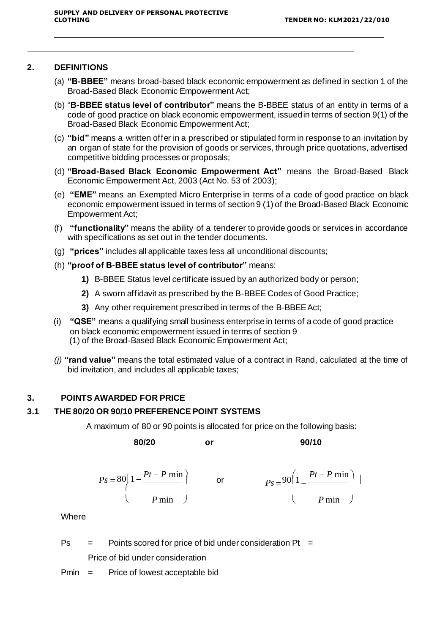#### **2. DEFINITIONS**

- (a) **"B-BBEE"** means broad-based black economic empowerment as defined in section 1 of the Broad-Based Black Economic Empowerment Act;
- (b) "**B-BBEE status level of contributor"** means the B-BBEE status of an entity in terms of a code of good practice on black economic empowerment, issuedin terms of section 9(1) of the Broad-Based Black Economic Empowerment Act;
- (c) **"bid"** means a written offer in a prescribed or stipulated form in response to an invitation by an organ of state for the provision of goods or services, through price quotations, advertised competitive bidding processes or proposals;
- (d) **"Broad-Based Black Economic Empowerment Act"** means the Broad-Based Black Economic Empowerment Act, 2003 (Act No. 53 of 2003);
- (e) **"EME"** means an Exempted Micro Enterprise in terms of a code of good practice on black economic empowerment issued in terms of section 9 (1) of the Broad-Based Black Economic Empowerment Act;
- (f) **"functionality"** means the ability of a tenderer to provide goods or services in accordance with specifications as set out in the tender documents.
- (g) **"prices"** includes all applicable taxes less all unconditional discounts;
- (h) **"proof of B-BBEE status level of contributor"** means:
	- **1)** B-BBEE Status level certificate issued by an authorized body or person;
	- **2)** A sworn affidavit as prescribed by the B-BBEE Codes of Good Practice;
	- **3)** Any other requirement prescribed in terms of the B-BBEE Act;
- (i) **"QSE"** means a qualifying small business enterprise in terms of a code of good practice on black economic empowerment issued in terms of section 9 (1) of the Broad-Based Black Economic Empowerment Act;
- *(j)* **"rand value"** means the total estimated value of a contract in Rand, calculated at the time of bid invitation, and includes all applicable taxes;

### **3. POINTS AWARDED FOR PRICE**

## **3.1 THE 80/20 OR 90/10 PREFERENCE POINT SYSTEMS**

A maximum of 80 or 90 points is allocated for price on the following basis:

**80/20 or 90/10**

$$
Ps = 80\left(1 - \frac{Pt - P \min}{P \min}\right) \qquad \text{or} \qquad \qquad Ps = 90\left(1 - \frac{Pt - P \min}{P \min}\right) \mid
$$

**Where** 

 $Ps =$  Points scored for price of bid under consideration Pt = Price of bid under consideration

Pmin = Price of lowest acceptable bid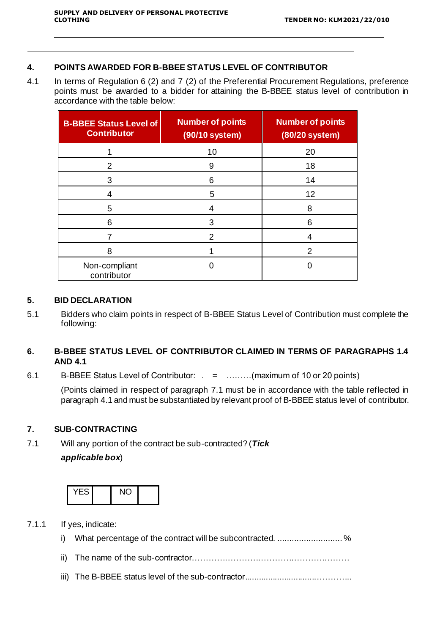#### **4. POINTS AWARDED FOR B-BBEE STATUS LEVEL OF CONTRIBUTOR**

4.1 In terms of Regulation 6 (2) and 7 (2) of the Preferential Procurement Regulations, preference points must be awarded to a bidder for attaining the B-BBEE status level of contribution in accordance with the table below:

| <b>B-BBEE Status Level of</b><br><b>Contributor</b> | <b>Number of points</b><br>(90/10 system) | <b>Number of points</b><br>(80/20 system) |
|-----------------------------------------------------|-------------------------------------------|-------------------------------------------|
|                                                     | 10                                        | 20                                        |
| 2                                                   | 9                                         | 18                                        |
| 3                                                   | 6                                         | 14                                        |
| 4                                                   | 5                                         | 12                                        |
| 5                                                   | 4                                         | 8                                         |
| 6                                                   | 3                                         | 6                                         |
|                                                     | $\mathcal{P}$                             | 4                                         |
| 8                                                   |                                           | 2                                         |
| Non-compliant<br>contributor                        |                                           |                                           |

#### **5. BID DECLARATION**

5.1 Bidders who claim points in respect of B-BBEE Status Level of Contribution must complete the following:

## **6. B-BBEE STATUS LEVEL OF CONTRIBUTOR CLAIMED IN TERMS OF PARAGRAPHS 1.4 AND 4.1**

6.1 B-BBEE Status Level of Contributor: . = ………(maximum of 10 or 20 points)

(Points claimed in respect of paragraph 7.1 must be in accordance with the table reflected in paragraph 4.1 and must be substantiated by relevant proof of B-BBEE status level of contributor.

#### **7. SUB-CONTRACTING**

7.1 Will any portion of the contract be sub-contracted? (*Tick applicable box*)



- 7.1.1 If yes, indicate: i) What percentage of the contract will be subcontracted. .............................% ii) The name of the sub-contractor…………………………………………………
	- iii) The B-BBEE status level of the sub-contractor..............................…………..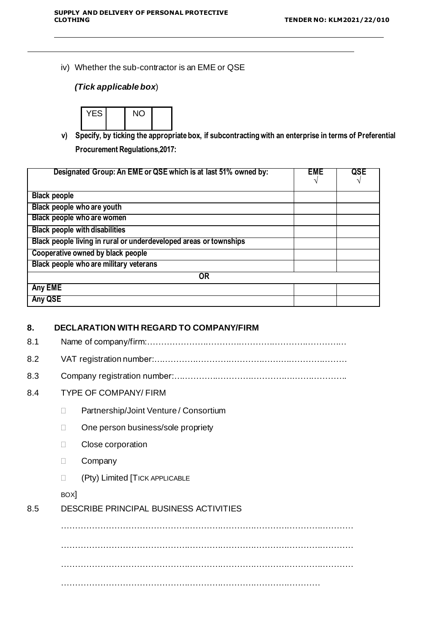iv) Whether the sub-contractor is an EME or QSE

## *(Tick applicable box*)



**v) Specify, by ticking the appropriate box, if subcontracting with an enterprise in terms of Preferential Procurement Regulations,2017:**

| Designated Group: An EME or QSE which is at last 51% owned by:    | <b>EME</b> | QSE |
|-------------------------------------------------------------------|------------|-----|
|                                                                   |            |     |
| <b>Black people</b>                                               |            |     |
| Black people who are youth                                        |            |     |
| Black people who are women                                        |            |     |
| <b>Black people with disabilities</b>                             |            |     |
| Black people living in rural or underdeveloped areas or townships |            |     |
| Cooperative owned by black people                                 |            |     |
| Black people who are military veterans                            |            |     |
| <b>OR</b>                                                         |            |     |
| Any EME                                                           |            |     |
| Any QSE                                                           |            |     |

#### **8. DECLARATION WITH REGARD TO COMPANY/FIRM**

8.1 Name of company/firm:………………………………………………………………

8.2 VAT registration number:……………………………………….……………………

8.3 Company registration number:…………….……………………….……………….

### 8.4 TYPE OF COMPANY/ FIRM

- D Partnership/Joint Venture / Consortium
- □ One person business/sole propriety
- D Close corporation
- D Company
- (Pty) Limited [TICK APPLICABLE

#### BOX]

#### 8.5 DESCRIBE PRINCIPAL BUSINESS ACTIVITIES

…………………………………………………………………………………………… …………………………………………………………………………………………… …………………………………………………………………………………………… …………………………………………………………………………………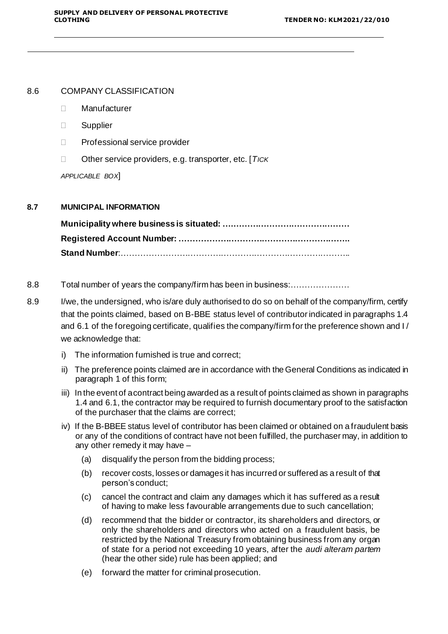#### 8.6 COMPANY CLASSIFICATION

- Manufacturer
- **D** Supplier
- D Professional service provider
- Other service providers, e.g. transporter, etc. [*TICK*

*APPLICABLE BOX*]

#### **8.7 MUNICIPAL INFORMATION**

**Municipality where business is situated: ….…………………………………… Registered Account Number: …………………………………………………….. Stand Number**:………………………………………………………………………..

- 8.8 Total number of years the company/firm has been in business:…………………
- 8.9 I/we, the undersigned, who is/are duly authorised to do so on behalf of the company/firm, certify that the points claimed, based on B-BBE status level of contributor indicated in paragraphs 1.4 and 6.1 of the foregoing certificate, qualifies the company/firm for the preference shown and I/ we acknowledge that:
	- i) The information furnished is true and correct;
	- ii) The preference points claimed are in accordance with the General Conditions as indicated in paragraph 1 of this form;
	- iii) In the event of acontract being awarded as a result of points claimed as shown in paragraphs 1.4 and 6.1, the contractor may be required to furnish documentary proof to the satisfaction of the purchaser that the claims are correct;
	- iv) If the B-BBEE status level of contributor has been claimed or obtained on a fraudulent basis or any of the conditions of contract have not been fulfilled, the purchaser may, in addition to any other remedy it may have –
		- (a) disqualify the person from the bidding process;
		- (b) recover costs, losses or damages it has incurred or suffered as a result of that person's conduct;
		- (c) cancel the contract and claim any damages which it has suffered as a result of having to make less favourable arrangements due to such cancellation;
		- (d) recommend that the bidder or contractor, its shareholders and directors, or only the shareholders and directors who acted on a fraudulent basis, be restricted by the National Treasury from obtaining business from any organ of state for a period not exceeding 10 years, after the *audi alteram partem*  (hear the other side) rule has been applied; and
		- (e) forward the matter for criminal prosecution.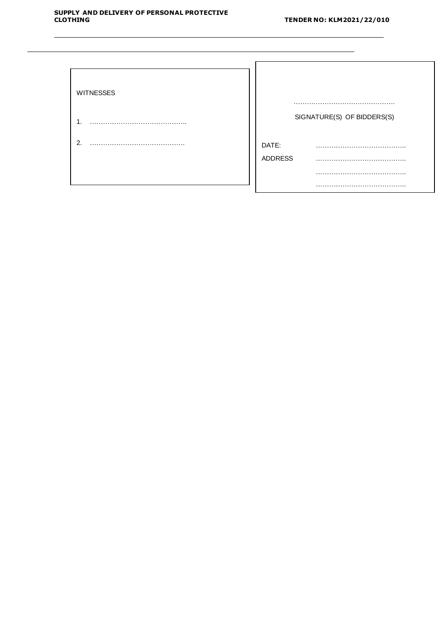| <b>WITNESSES</b> |                |                            |
|------------------|----------------|----------------------------|
| ι.               |                | SIGNATURE(S) OF BIDDERS(S) |
| $\overline{2}$ . | DATE:          | .                          |
|                  | <b>ADDRESS</b> |                            |
|                  |                |                            |
|                  |                |                            |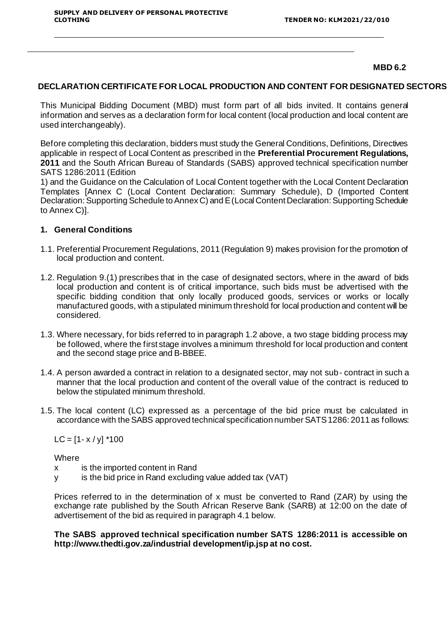#### **MBD 6.2**

#### **DECLARATION CERTIFICATE FOR LOCAL PRODUCTION AND CONTENT FOR DESIGNATED SECTORS**

This Municipal Bidding Document (MBD) must form part of all bids invited. It contains general information and serves as a declaration form for local content (local production and local content are used interchangeably).

Before completing this declaration, bidders must study the General Conditions, Definitions, Directives applicable in respect of Local Content as prescribed in the **Preferential Procurement Regulations, 2011** and the South African Bureau of Standards (SABS) approved technical specification number SATS 1286:2011 (Edition

1) and the Guidance on the Calculation of Local Content together with the Local Content Declaration Templates [Annex C (Local Content Declaration: Summary Schedule), D (Imported Content Declaration: Supporting Schedule to Annex C) and E (Local Content Declaration: Supporting Schedule to Annex C)].

#### **1. General Conditions**

- 1.1. Preferential Procurement Regulations, 2011 (Regulation 9) makes provision for the promotion of local production and content.
- 1.2. Regulation 9.(1) prescribes that in the case of designated sectors, where in the award of bids local production and content is of critical importance, such bids must be advertised with the specific bidding condition that only locally produced goods, services or works or locally manufactured goods, with a stipulated minimum threshold for local production and content will be considered.
- 1.3. Where necessary, for bids referred to in paragraph 1.2 above, a two stage bidding process may be followed, where the first stage involves a minimum threshold for local production and content and the second stage price and B-BBEE.
- 1.4. A person awarded a contract in relation to a designated sector, may not sub- contract in such a manner that the local production and content of the overall value of the contract is reduced to below the stipulated minimum threshold.
- 1.5. The local content (LC) expressed as a percentage of the bid price must be calculated in accordance with the SABS approved technical specification number SATS 1286: 2011 as follows:

 $LC = [1 - x / y]$  \*100

**Where** 

- x is the imported content in Rand
- y is the bid price in Rand excluding value added tax (VAT)

Prices referred to in the determination of x must be converted to Rand (ZAR) by using the exchange rate published by the South African Reserve Bank (SARB) at 12:00 on the date of advertisement of the bid as required in paragraph 4.1 below.

**The SABS approved technical specification number SATS 1286:2011 is accessible on <http://www.thedti.gov.za/industrial> development/ip.jsp at no cost.**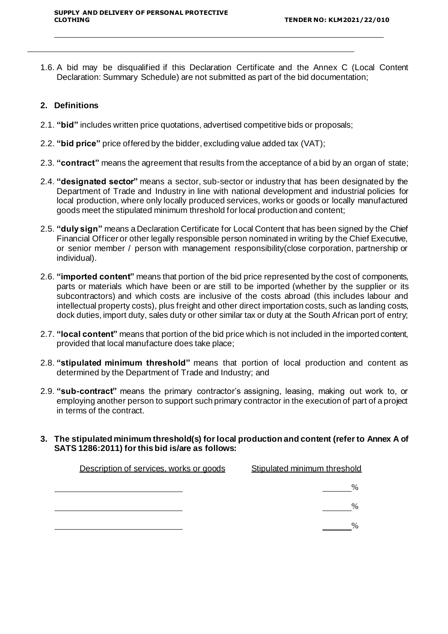1.6. A bid may be disqualified if this Declaration Certificate and the Annex C (Local Content Declaration: Summary Schedule) are not submitted as part of the bid documentation;

## **2. Definitions**

- 2.1. **"bid"** includes written price quotations, advertised competitive bids or proposals;
- 2.2. **"bid price"** price offered by the bidder, excluding value added tax (VAT);
- 2.3. **"contract"** means the agreement that results from the acceptance of a bid by an organ of state;
- 2.4. **"designated sector"** means a sector, sub-sector or industry that has been designated by the Department of Trade and Industry in line with national development and industrial policies for local production, where only locally produced services, works or goods or locally manufactured goods meet the stipulated minimum threshold for local production and content;
- 2.5. **"duly sign"** means a Declaration Certificate for Local Content that has been signed by the Chief Financial Officer or other legally responsible person nominated in writing by the Chief Executive, or senior member / person with management responsibility(close corporation, partnership or individual).
- 2.6. **"imported content"** means that portion of the bid price represented by the cost of components, parts or materials which have been or are still to be imported (whether by the supplier or its subcontractors) and which costs are inclusive of the costs abroad (this includes labour and intellectual property costs), plus freight and other direct importation costs, such as landing costs, dock duties, import duty, sales duty or other similar tax or duty at the South African port of entry;
- 2.7. **"local content"** means that portion of the bid price which is not included in the imported content, provided that local manufacture does take place;
- 2.8. **"stipulated minimum threshold"** means that portion of local production and content as determined by the Department of Trade and Industry; and
- 2.9. **"sub-contract"** means the primary contractor's assigning, leasing, making out work to, or employing another person to support such primary contractor in the execution of part of a project in terms of the contract.
- **3. The stipulated minimum threshold(s) for local production and content (refer to Annex A of SATS 1286:2011) for this bid is/are as follows:**

| Description of services, works or goods | Stipulated minimum threshold |
|-----------------------------------------|------------------------------|
|                                         |                              |
|                                         |                              |
|                                         |                              |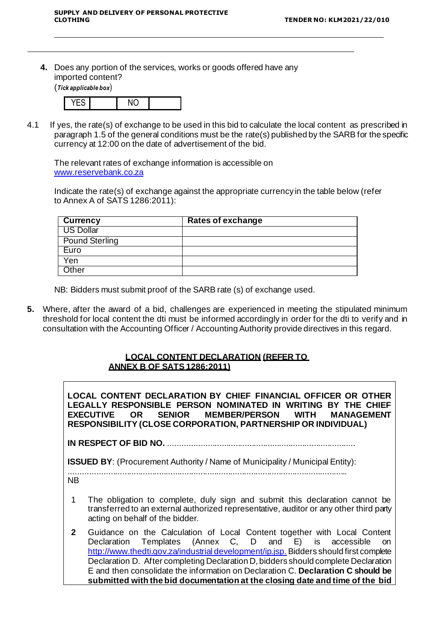**4.** Does any portion of the services, works or goods offered have any imported content?

(*Tick applicable box*)



4.1 If yes, the rate(s) of exchange to be used in this bid to calculate the local content as prescribed in paragraph 1.5 of the general conditions must be the rate(s) published by the SARB for the specific currency at 12:00 on the date of advertisement of the bid.

The relevant rates of exchange information is accessible on [www.reservebank.co.za](http://www.reservebank.co.za/)

Indicate the rate(s) of exchange against the appropriate currency in the table below (refer to Annex A of SATS 1286:2011):

| <b>Currency</b>       | Rates of exchange |
|-----------------------|-------------------|
| US Dollar             |                   |
| <b>Pound Sterling</b> |                   |
| Euro                  |                   |
| Yen                   |                   |
| Other                 |                   |

NB: Bidders must submit proof of the SARB rate (s) of exchange used.

**5.** Where, after the award of a bid, challenges are experienced in meeting the stipulated minimum threshold for local content the dti must be informed accordingly in order for the dti to verify and in consultation with the Accounting Officer / Accounting Authority provide directives in this regard.

## **LOCAL CONTENT DECLARATION (REFER TO ANNEX B OF SATS 1286:2011)**

**LOCAL CONTENT DECLARATION BY CHIEF FINANCIAL OFFICER OR OTHER LEGALLY RESPONSIBLE PERSON NOMINATED IN WRITING BY THE CHIEF EXECUTIVE OR SENIOR MEMBER/PERSON WITH MANAGEMENT RESPONSIBILITY (CLOSE CORPORATION, PARTNERSHIP OR INDIVIDUAL)**

**IN RESPECT OF BID NO.** .................................................................................

**ISSUED BY:** (Procurement Authority / Name of Municipality / Municipal Entity):

.........................................................................................................................

NB

- 1 The obligation to complete, duly sign and submit this declaration cannot be transferred to an external authorized representative, auditor or any other third party acting on behalf of the bidder.
- **2** Guidance on the Calculation of Local Content together with Local Content Declaration Templates (Annex C, D and E) is accessible on [http://www.thedti.gov.za/industrial](http://www.thedti.gov.za/industrial%20development/ip.jsp) development/ip.jsp. Bidders should first complete Declaration D. After completing Declaration D, bidders should complete Declaration E and then consolidate the information on Declaration C. **Declaration C should be submitted with the bid documentation at the closing date and time of the bid**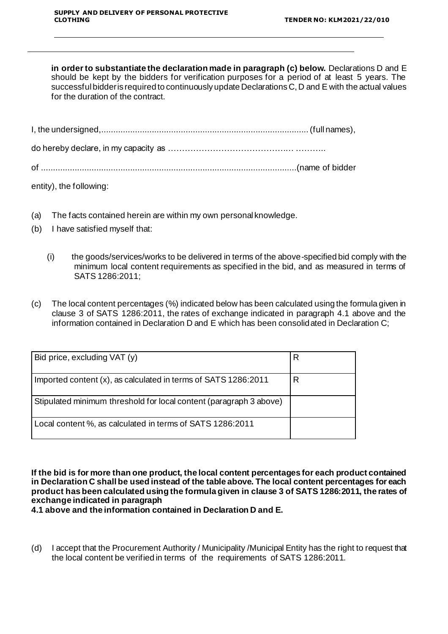**in order to substantiate the declaration made in paragraph (c) below.** Declarations D and E should be kept by the bidders for verification purposes for a period of at least 5 years. The successful bidder is required to continuously update Declarations C, D and E with the actual values for the duration of the contract.

| entity), the following: |  |
|-------------------------|--|

(a) The facts contained herein are within my own personal knowledge.

- (b) I have satisfied myself that:
	- (i) the goods/services/works to be delivered in terms of the above-specified bid comply with the minimum local content requirements as specified in the bid, and as measured in terms of SATS 1286:2011;
- (c) The local content percentages (%) indicated below has been calculated using the formula given in clause 3 of SATS 1286:2011, the rates of exchange indicated in paragraph 4.1 above and the information contained in Declaration D and E which has been consolidated in Declaration C;

| Bid price, excluding VAT (y)                                       | R |
|--------------------------------------------------------------------|---|
| Imported content (x), as calculated in terms of SATS 1286:2011     | R |
| Stipulated minimum threshold for local content (paragraph 3 above) |   |
| Local content %, as calculated in terms of SATS 1286:2011          |   |

**If the bid is for more than one product, the local content percentages for each product contained in Declaration C shall be used instead of the table above. The local content percentages for each product has been calculated using the formula given in clause 3 of SATS 1286:2011, the rates of exchange indicated in paragraph**

**4.1 above and the information contained in Declaration D and E.**

(d) I accept that the Procurement Authority / Municipality /Municipal Entity has the right to request that the local content be verified in terms of the requirements of SATS 1286:2011.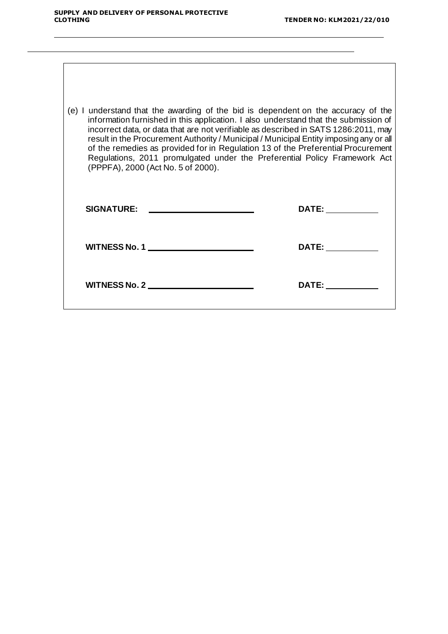j.

 $\overline{\phantom{0}}$ 

 $\overline{a}$ 

| (e) I understand that the awarding of the bid is dependent on the accuracy of the<br>information furnished in this application. I also understand that the submission of<br>incorrect data, or data that are not verifiable as described in SATS 1286:2011, may<br>result in the Procurement Authority / Municipal / Municipal Entity imposing any or all<br>of the remedies as provided for in Regulation 13 of the Preferential Procurement<br>Regulations, 2011 promulgated under the Preferential Policy Framework Act<br>(PPPFA), 2000 (Act No. 5 of 2000). |                                                                                                                                                                                                                                |  |
|------------------------------------------------------------------------------------------------------------------------------------------------------------------------------------------------------------------------------------------------------------------------------------------------------------------------------------------------------------------------------------------------------------------------------------------------------------------------------------------------------------------------------------------------------------------|--------------------------------------------------------------------------------------------------------------------------------------------------------------------------------------------------------------------------------|--|
| SIGNATURE: _____________________                                                                                                                                                                                                                                                                                                                                                                                                                                                                                                                                 | DATE: _____________                                                                                                                                                                                                            |  |
| WITNESS No. 1                                                                                                                                                                                                                                                                                                                                                                                                                                                                                                                                                    | DATE: the contract of the contract of the contract of the contract of the contract of the contract of the contract of the contract of the contract of the contract of the contract of the contract of the contract of the cont |  |
| WITNESS No. 2                                                                                                                                                                                                                                                                                                                                                                                                                                                                                                                                                    | DATE: the contract of the contract of the contract of the contract of the contract of the contract of the contract of the contract of the contract of the contract of the contract of the contract of the contract of the cont |  |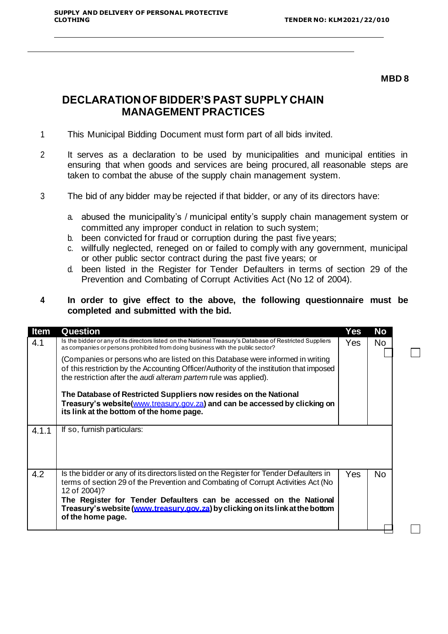#### **MBD 8**

 $\Box$ 

 $\Box$ 

## **DECLARATION OF BIDDER'S PAST SUPPLY CHAIN MANAGEMENT PRACTICES**

- 1 This Municipal Bidding Document must form part of all bids invited.
- 2 It serves as a declaration to be used by municipalities and municipal entities in ensuring that when goods and services are being procured, all reasonable steps are taken to combat the abuse of the supply chain management system.
- 3 The bid of any bidder may be rejected if that bidder, or any of its directors have:
	- a. abused the municipality's / municipal entity's supply chain management system or committed any improper conduct in relation to such system;
	- b. been convicted for fraud or corruption during the past five years;
	- c. willfully neglected, reneged on or failed to comply with any government, municipal or other public sector contract during the past five years; or
	- d. been listed in the Register for Tender Defaulters in terms of section 29 of the Prevention and Combating of Corrupt Activities Act (No 12 of 2004).

## **4 In order to give effect to the above, the following questionnaire must be completed and submitted with the bid.**

| <b>Item</b> | <b>Question</b>                                                                                                                                                                                                                                                                                                                                                         | Yes  | No        |
|-------------|-------------------------------------------------------------------------------------------------------------------------------------------------------------------------------------------------------------------------------------------------------------------------------------------------------------------------------------------------------------------------|------|-----------|
| 4.1         | Is the bidder or any of its directors listed on the National Treasury's Database of Restricted Suppliers<br>as companies or persons prohibited from doing business with the public sector?                                                                                                                                                                              | Yes. | No        |
|             | (Companies or persons who are listed on this Database were informed in writing<br>of this restriction by the Accounting Officer/Authority of the institution that imposed<br>the restriction after the <i>audi alteram partem</i> rule was applied).                                                                                                                    |      |           |
|             | The Database of Restricted Suppliers now resides on the National<br>Treasury's website(www.treasury.gov.za) and can be accessed by clicking on<br>its link at the bottom of the home page.                                                                                                                                                                              |      |           |
| 4.1.1       | If so, furnish particulars:                                                                                                                                                                                                                                                                                                                                             |      |           |
| 4.2         | Is the bidder or any of its directors listed on the Register for Tender Defaulters in<br>terms of section 29 of the Prevention and Combating of Corrupt Activities Act (No<br>12 of 2004)?<br>The Register for Tender Defaulters can be accessed on the National<br>Treasury's website (www.treasury.gov.za) by clicking on its link at the bottom<br>of the home page. | Yes  | <b>No</b> |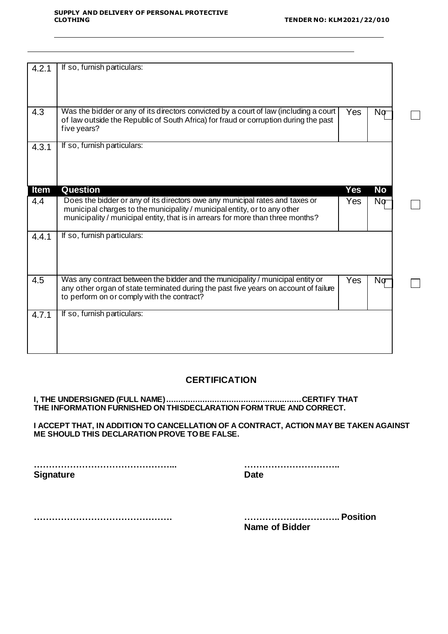٦

 $\Box$ 

| 4.2.1       | If so, furnish particulars:                                                                                                                                                                                                                  |     |           |
|-------------|----------------------------------------------------------------------------------------------------------------------------------------------------------------------------------------------------------------------------------------------|-----|-----------|
| 4.3         | Was the bidder or any of its directors convicted by a court of law (including a court<br>of law outside the Republic of South Africa) for fraud or corruption during the past<br>five years?                                                 | Yes | Nσ        |
| 4.3.1       | If so, furnish particulars:                                                                                                                                                                                                                  |     |           |
| <b>Item</b> | Question                                                                                                                                                                                                                                     | Yes | <b>No</b> |
| 4.4         | Does the bidder or any of its directors owe any municipal rates and taxes or<br>municipal charges to the municipality / municipal entity, or to any other<br>municipality / municipal entity, that is in arrears for more than three months? | Yes | Nσ        |
| 4.4.1       | If so, furnish particulars:                                                                                                                                                                                                                  |     |           |
| 4.5         | Was any contract between the bidder and the municipality / municipal entity or<br>any other organ of state terminated during the past five years on account of failure<br>to perform on or comply with the contract?                         | Yes | Nσ        |
| 4.7.1       | If so, furnish particulars:                                                                                                                                                                                                                  |     |           |

### **CERTIFICATION**

**I, THE UNDERSIGNED (FULL NAME)........................................................CERTIFY THAT THE INFORMATION FURNISHED ON THISDECLARATION FORM TRUE AND CORRECT.**

**I ACCEPT THAT, IN ADDITION TO CANCELLATION OF A CONTRACT, ACTION MAY BE TAKEN AGAINST ME SHOULD THIS DECLARATION PROVE TO BE FALSE.**

**………………………………………... ………………………….. Signature Date** 

**………………………………………. ………………………….. Position**

**Name of Bidder**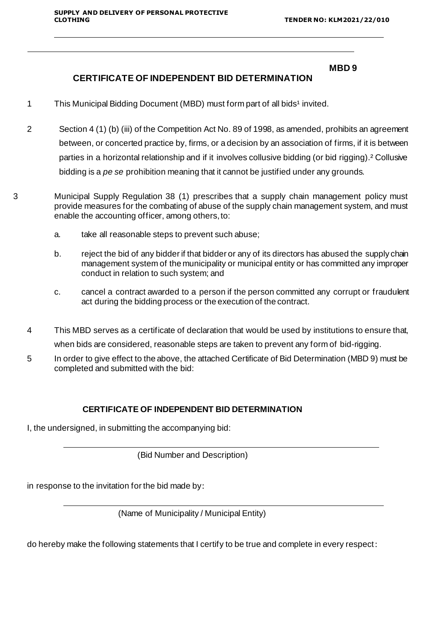#### **MBD 9**

## **CERTIFICATE OF INDEPENDENT BID DETERMINATION**

- 1 This Municipal Bidding Document (MBD) must form part of all bids<sup>1</sup> invited.
- 2 Section 4 (1) (b) (iii) of the Competition Act No. 89 of 1998, as amended, prohibits an agreement between, or concerted practice by, firms, or a decision by an association of firms, if it is between parties in a horizontal relationship and if it involves collusive bidding (or bid rigging).² Collusive bidding is a *pe se* prohibition meaning that it cannot be justified under any grounds.
- 3 Municipal Supply Regulation 38 (1) prescribes that a supply chain management policy must provide measures for the combating of abuse of the supply chain management system, and must enable the accounting officer, among others,to:
	- a. take all reasonable steps to prevent such abuse;
	- b. reject the bid of any bidder if that bidder or any of its directors has abused the supply chain management system of the municipality or municipal entity or has committed any improper conduct in relation to such system; and
	- c. cancel a contract awarded to a person if the person committed any corrupt or fraudulent act during the bidding process or the execution of the contract.
	- 4 This MBD serves as a certificate of declaration that would be used by institutions to ensure that, when bids are considered, reasonable steps are taken to prevent any form of bid-rigging.
	- 5 In order to give effect to the above, the attached Certificate of Bid Determination (MBD 9) must be completed and submitted with the bid:

#### **CERTIFICATE OF INDEPENDENT BID DETERMINATION**

I, the undersigned, in submitting the accompanying bid:

(Bid Number and Description)

in response to the invitation for the bid made by:

(Name of Municipality / Municipal Entity)

do hereby make the following statements that I certify to be true and complete in every respect: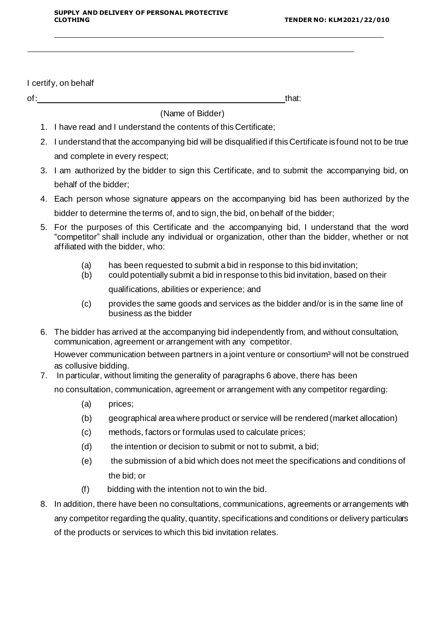#### I certify, on behalf

of: that: that: that: that: that: that: that: that: that: that: that: that: that: that: that: that: that: that: that: that: that: that: that: that: that: that: that: that: that: that: that: that: that: that: that: that: th

(Name of Bidder)

- 1. I have read and I understand the contents of this Certificate;
- 2. I understand that the accompanying bid will be disqualified if this Certificate is found not to be true and complete in every respect;
- 3. I am authorized by the bidder to sign this Certificate, and to submit the accompanying bid, on behalf of the bidder;
- 4. Each person whose signature appears on the accompanying bid has been authorized by the bidder to determine the terms of, and to sign, the bid, on behalf of the bidder;
- 5. For the purposes of this Certificate and the accompanying bid, I understand that the word "competitor" shall include any individual or organization, other than the bidder, whether or not affiliated with the bidder, who:
	- (a) has been requested to submit a bid in response to this bid invitation;
	- (b) could potentially submit a bid in response to this bid invitation, based on their

qualifications, abilities or experience; and

- (c) provides the same goods and services as the bidder and/or is in the same line of business as the bidder
- 6. The bidder has arrived at the accompanying bid independently from, and without consultation, communication, agreement or arrangement with any competitor.

However communication between partners in a joint venture or consortium<sup>3</sup> will not be construed as collusive bidding.

7. In particular, without limiting the generality of paragraphs 6 above, there has been

no consultation, communication, agreement or arrangement with any competitor regarding:

- (a) prices;
- (b) geographical area where product or service will be rendered (market allocation)
- (c) methods, factors or formulas used to calculate prices;
- (d) the intention or decision to submit or not to submit, a bid;
- (e) the submission of a bid which does not meet the specifications and conditions of the bid; or
- (f) bidding with the intention not to win the bid.
- 8. In addition, there have been no consultations, communications, agreements or arrangements with any competitor regarding the quality, quantity, specifications and conditions or delivery particulars of the products or services to which this bid invitation relates.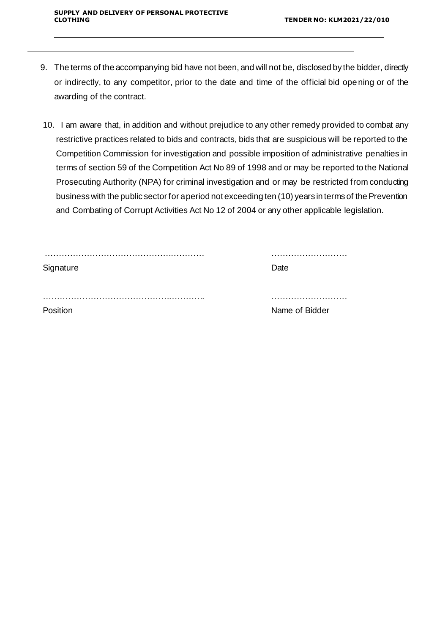- 9. The terms of the accompanying bid have not been, and will not be, disclosed by the bidder, directly or indirectly, to any competitor, prior to the date and time of the official bid opening or of the awarding of the contract.
- 10. I am aware that, in addition and without prejudice to any other remedy provided to combat any restrictive practices related to bids and contracts, bids that are suspicious will be reported to the Competition Commission for investigation and possible imposition of administrative penalties in terms of section 59 of the Competition Act No 89 of 1998 and or may be reported to the National Prosecuting Authority (NPA) for criminal investigation and or may be restricted from conducting business with the public sector for a period not exceeding ten (10) years in terms of the Prevention and Combating of Corrupt Activities Act No 12 of 2004 or any other applicable legislation.

| Signature | Date           |
|-----------|----------------|
|           |                |
| Position  | Name of Bidder |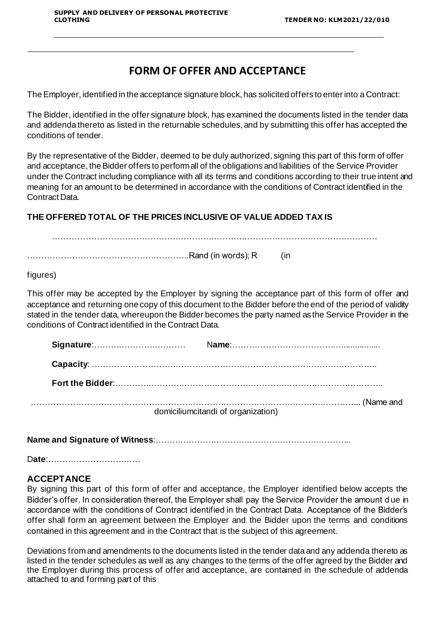## **FORM OF OFFER AND ACCEPTANCE**

TheEmployer, identified in the acceptance signature block, has solicited offers to enter into a Contract:

The Bidder, identified in the offer signature block, has examined the documents listed in the tender data and addenda thereto as listed in the returnable schedules, and by submitting this offer has accepted the conditions of tender.

By the representative of the Bidder, deemed to be duly authorized, signing this part of this form of offer and acceptance, the Bidder offers to perform all of the obligations and liabilities of the Service Provider under the Contract including compliance with all its terms and conditions according to their true intent and meaning for an amount to be determined in accordance with the conditions of Contract identified in the Contract Data.

## **THE OFFERED TOTAL OF THE PRICES INCLUSIVE OF VALUE ADDED TAX IS**

……………………………………………………………………………………………………… ………………………………………………….Rand (in words); R (in

figures)

This offer may be accepted by the Employer by signing the acceptance part of this form of offer and acceptance and returning one copy of this document to the Bidder before the end of the period of validity stated in the tender data, whereupon the Bidder becomes the party named as the Service Provider in the conditions of Contract identified in the Contract Data.

|  | domiciliumcitandi of organization) |
|--|------------------------------------|

**Name and Signature of Witness**:……………………………………………………………..

D**ate**:……………………………

## **ACCEPTANCE**

By signing this part of this form of offer and acceptance, the Employer identified below accepts the Bidder's offer. In consideration thereof, the Employer shall pay the Service Provider the amount d ue in accordance with the conditions of Contract identified in the Contract Data. Acceptance of the Bidder's offer shall form an agreement between the Employer and the Bidder upon the terms and conditions contained in this agreement and in the Contract that is the subject of this agreement.

Deviations from and amendments to the documents listed in the tender data and any addenda thereto as listed in the tender schedules as well as any changes to the terms of the offer agreed by the Bidder and the Employer during this process of offer and acceptance, are contained in the schedule of addenda attached to and forming part of this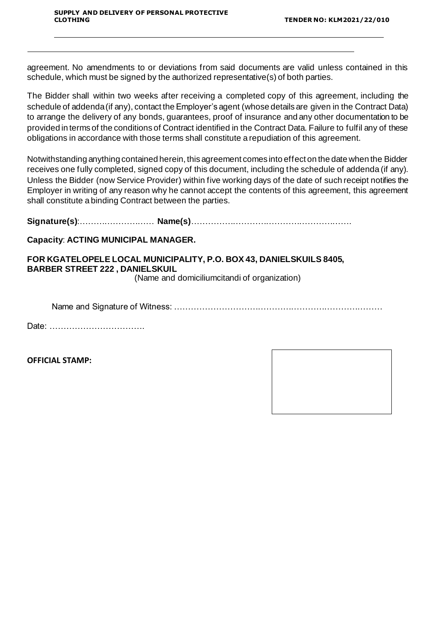agreement. No amendments to or deviations from said documents are valid unless contained in this schedule, which must be signed by the authorized representative(s) of both parties.

The Bidder shall within two weeks after receiving a completed copy of this agreement, including the schedule of addenda (if any), contact the Employer's agent (whose details are given in the Contract Data) to arrange the delivery of any bonds, guarantees, proof of insurance and any other documentation to be provided in terms of the conditions of Contract identified in the Contract Data. Failure to fulfil any of these obligations in accordance with those terms shall constitute a repudiation of this agreement.

Notwithstanding anything contained herein, this agreement comes into effect on the date when the Bidder receives one fully completed, signed copy of this document, including the schedule of addenda (if any). Unless the Bidder (now Service Provider) within five working days of the date of such receipt notifies the Employer in writing of any reason why he cannot accept the contents of this agreement, this agreement shall constitute a binding Contract between the parties.

**Signature(s)**:……………………… **Name(s)**………………………………………………….

## **Capacity**: **ACTING MUNICIPAL MANAGER.**

## **FOR KGATELOPELE LOCAL MUNICIPALITY, P.O. BOX 43, DANIELSKUILS 8405, BARBER STREET 222 , DANIELSKUIL**

(Name and domiciliumcitandi of organization)

Name and Signature of Witness: …………………………………………………………………

Date: …………………………….

**OFFICIAL STAMP:**

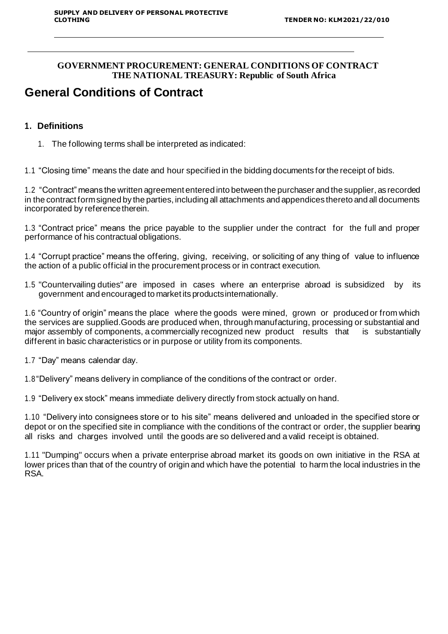## **GOVERNMENT PROCUREMENT: GENERAL CONDITIONS OF CONTRACT THE NATIONAL TREASURY: Republic of South Africa**

# **General Conditions of Contract**

## **1. Definitions**

1. The following terms shall be interpreted as indicated:

1.1 "Closing time" means the date and hour specified in the bidding documents for the receipt of bids.

1.2 "Contract" means the written agreement entered into between the purchaser and the supplier, as recorded in the contract form signed by the parties, including all attachments and appendices thereto and all documents incorporated by reference therein.

1.3 "Contract price" means the price payable to the supplier under the contract for the full and proper performance of his contractual obligations.

1.4 "Corrupt practice" means the offering, giving, receiving, or soliciting of any thing of value to influence the action of a public official in the procurement process or in contract execution.

1.5 "Countervailing duties" are imposed in cases where an enterprise abroad is subsidized by its government and encouraged to market its productsinternationally.

1.6 "Country of origin" means the place where the goods were mined, grown or produced or from which the services are supplied.Goods are produced when, through manufacturing, processing or substantial and major assembly of components, a commercially recognized new product results that is substantially different in basic characteristics or in purpose or utility from its components.

1.7 "Day" means calendar day.

1.8"Delivery" means delivery in compliance of the conditions of the contract or order.

1.9 "Delivery ex stock" means immediate delivery directly from stock actually on hand.

1.10 "Delivery into consignees store or to his site" means delivered and unloaded in the specified store or depot or on the specified site in compliance with the conditions of the contract or order, the supplier bearing all risks and charges involved until the goods are so delivered and a valid receipt is obtained.

1.11 "Dumping" occurs when a private enterprise abroad market its goods on own initiative in the RSA at lower prices than that of the country of origin and which have the potential to harm the local industries in the RSA.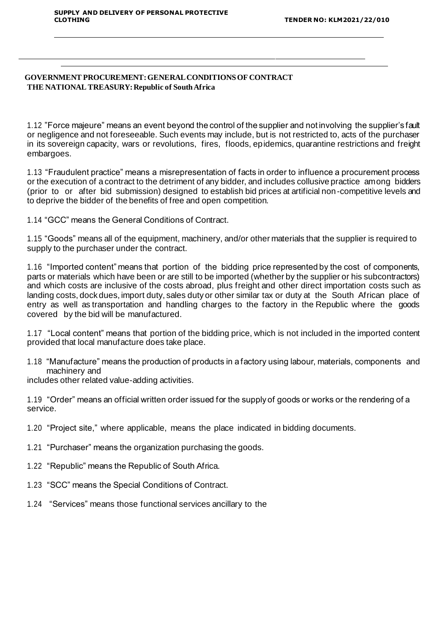#### **GOVERNMENT PROCUREMENT: GENERAL CONDITIONS OF CONTRACT THE NATIONAL TREASURY: Republic of South Africa**

1.12 "Force majeure" means an event beyond the control of the supplier and not involving the supplier's fault or negligence and not foreseeable. Such events may include, but is not restricted to, acts of the purchaser in its sovereign capacity, wars or revolutions, fires, floods, epidemics, quarantine restrictions and freight embargoes.

1.13 "Fraudulent practice" means a misrepresentation of facts in order to influence a procurement process or the execution of a contract to the detriment of any bidder, and includes collusive practice among bidders (prior to or after bid submission) designed to establish bid prices at artificial non-competitive levels and to deprive the bidder of the benefits of free and open competition.

1.14 "GCC" means the General Conditions of Contract.

1.15 "Goods" means all of the equipment, machinery, and/or other materials that the supplier is required to supply to the purchaser under the contract.

1.16 "Imported content" means that portion of the bidding price represented by the cost of components, parts or materials which have been or are still to be imported (whether by the supplier or his subcontractors) and which costs are inclusive of the costs abroad, plus freight and other direct importation costs such as landing costs, dock dues, import duty, sales duty or other similar tax or duty at the South African place of entry as well as transportation and handling charges to the factory in the Republic where the goods covered by the bid will be manufactured.

1.17 "Local content" means that portion of the bidding price, which is not included in the imported content provided that local manufacture does take place.

1.18 "Manufacture" means the production of products in a factory using labour, materials, components and machinery and

includes other related value-adding activities.

1.19 "Order" means an official written order issued for the supply of goods or works or the rendering of a service.

- 1.20 "Project site," where applicable, means the place indicated in bidding documents.
- 1.21 "Purchaser" means the organization purchasing the goods.
- 1.22 "Republic" means the Republic of South Africa.
- 1.23 "SCC" means the Special Conditions of Contract.
- 1.24 "Services" means those functional services ancillary to the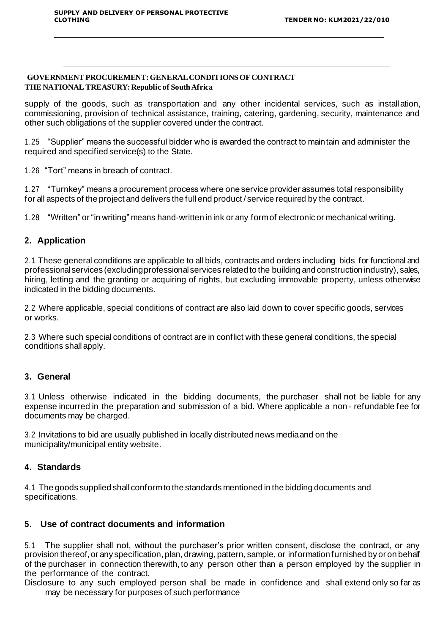#### **GOVERNMENT PROCUREMENT: GENERAL CONDITIONS OF CONTRACT THE NATIONAL TREASURY: Republic of South Africa**

supply of the goods, such as transportation and any other incidental services, such as installation, commissioning, provision of technical assistance, training, catering, gardening, security, maintenance and other such obligations of the supplier covered under the contract.

1.25 "Supplier" means the successful bidder who is awarded the contract to maintain and administer the required and specified service(s) to the State.

1.26 "Tort" means in breach of contract.

1.27 "Turnkey" means a procurement process where one service provider assumes total responsibility for all aspects of the project and delivers the full end product / service required by the contract.

1.28 "Written" or "in writing" means hand-written in ink or any formof electronic or mechanical writing.

## **2. Application**

2.1 These general conditions are applicable to all bids, contracts and orders including bids for functional and professional services (excluding professional services related to the building and construction industry), sales, hiring, letting and the granting or acquiring of rights, but excluding immovable property, unless otherwise indicated in the bidding documents.

2.2 Where applicable, special conditions of contract are also laid down to cover specific goods, services or works.

2.3 Where such special conditions of contract are in conflict with these general conditions, the special conditions shall apply.

#### **3. General**

3.1 Unless otherwise indicated in the bidding documents, the purchaser shall not be liable for any expense incurred in the preparation and submission of a bid. Where applicable a non- refundable fee for documents may be charged.

3.2 Invitations to bid are usually published in locally distributed news mediaand on the municipality/municipal entity website.

#### **4. Standards**

4.1 The goods supplied shall conformto the standards mentioned in the bidding documents and specifications.

## **5. Use of contract documents and information**

5.1 The supplier shall not, without the purchaser's prior written consent, disclose the contract, or any provision thereof, or any specification, plan, drawing, pattern, sample, or information furnished by or on behalf of the purchaser in connection therewith, to any person other than a person employed by the supplier in the performance of the contract.

Disclosure to any such employed person shall be made in confidence and shall extend only so far as may be necessary for purposes of such performance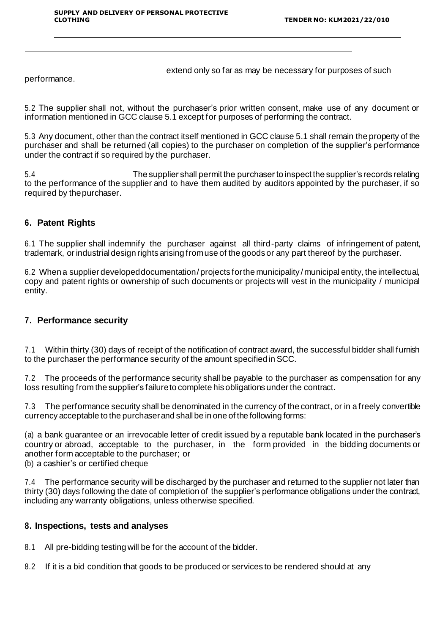extend only so far as may be necessary for purposes of such

performance.

5.2 The supplier shall not, without the purchaser's prior written consent, make use of any document or information mentioned in GCC clause 5.1 except for purposes of performing the contract.

5.3 Any document, other than the contract itself mentioned in GCC clause 5.1 shall remain the property of the purchaser and shall be returned (all copies) to the purchaser on completion of the supplier's performance under the contract if so required by the purchaser.

5.4 The supplier shall permit the purchaser to inspect the supplier's records relating to the performance of the supplier and to have them audited by auditors appointed by the purchaser, if so required by thepurchaser.

## **6. Patent Rights**

6.1 The supplier shall indemnify the purchaser against all third-party claims of infringement of patent, trademark, or industrial design rights arising fromuse of the goods or any part thereof by the purchaser.

6.2 When a supplier developed documentation / projects for the municipality / municipal entity, the intellectual, copy and patent rights or ownership of such documents or projects will vest in the municipality / municipal entity.

### **7. Performance security**

7.1 Within thirty (30) days of receipt of the notification of contract award, the successful bidder shall furnish to the purchaser the performance security of the amount specified in SCC.

7.2 The proceeds of the performance security shall be payable to the purchaser as compensation for any loss resulting from the supplier's failureto complete his obligations under the contract.

7.3 The performance security shall be denominated in the currency of the contract, or in a freely convertible currency acceptable to the purchaserand shallbe in one of the following forms:

(a) a bank guarantee or an irrevocable letter of credit issued by a reputable bank located in the purchaser's country or abroad, acceptable to the purchaser, in the form provided in the bidding documents or another form acceptable to the purchaser; or

(b) a cashier's or certified cheque

7.4 The performance security will be discharged by the purchaser and returned to the supplier not later than thirty (30) days following the date of completion of the supplier's performance obligations under the contract, including any warranty obligations, unless otherwise specified.

## **8. Inspections, tests and analyses**

8.1 All pre-bidding testing will be for the account of the bidder.

8.2 If it is a bid condition that goods to be produced or services to be rendered should at any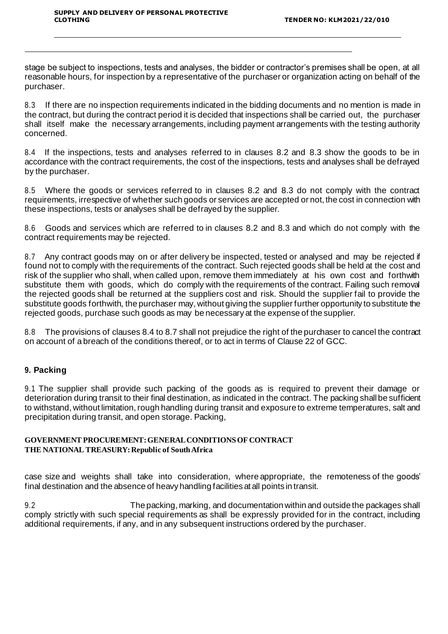stage be subject to inspections, tests and analyses, the bidder or contractor's premises shall be open, at all reasonable hours, for inspection by a representative of the purchaser or organization acting on behalf of the purchaser.

8.3 If there are no inspection requirements indicated in the bidding documents and no mention is made in the contract, but during the contract period it is decided that inspections shall be carried out, the purchaser shall itself make the necessary arrangements, including payment arrangements with the testing authority concerned.

8.4 If the inspections, tests and analyses referred to in clauses 8.2 and 8.3 show the goods to be in accordance with the contract requirements, the cost of the inspections, tests and analyses shall be defrayed by the purchaser.

8.5 Where the goods or services referred to in clauses 8.2 and 8.3 do not comply with the contract requirements, irrespective of whether such goods or services are accepted or not, the cost in connection with these inspections, tests or analyses shall be defrayed by the supplier.

8.6 Goods and services which are referred to in clauses 8.2 and 8.3 and which do not comply with the contract requirements may be rejected.

8.7 Any contract goods may on or after delivery be inspected, tested or analysed and may be rejected if found not to comply with the requirements of the contract. Such rejected goods shall be held at the cost and risk of the supplier who shall, when called upon, remove them immediately at his own cost and forthwith substitute them with goods, which do comply with the requirements of the contract. Failing such removal the rejected goods shall be returned at the suppliers cost and risk. Should the supplier fail to provide the substitute goods forthwith, the purchaser may, without giving the supplier further opportunity to substitute the rejected goods, purchase such goods as may be necessary at the expense of the supplier.

8.8 The provisions of clauses 8.4 to 8.7 shall not prejudice the right of the purchaser to cancel the contract on account of a breach of the conditions thereof, or to act in terms of Clause 22 of GCC.

## **9. Packing**

9.1 The supplier shall provide such packing of the goods as is required to prevent their damage or deterioration during transit to their final destination, as indicated in the contract. The packing shall be sufficient to withstand, without limitation, rough handling during transit and exposure to extreme temperatures, salt and precipitation during transit, and open storage. Packing,

#### **GOVERNMENT PROCUREMENT: GENERAL CONDITIONS OF CONTRACT THE NATIONAL TREASURY: Republic of South Africa**

case size and weights shall take into consideration, where appropriate, the remoteness of the goods' final destination and the absence of heavy handling facilities at all points in transit.

9.2 The packing, marking, and documentation within and outside the packages shall comply strictly with such special requirements as shall be expressly provided for in the contract, including additional requirements, if any, and in any subsequent instructions ordered by the purchaser.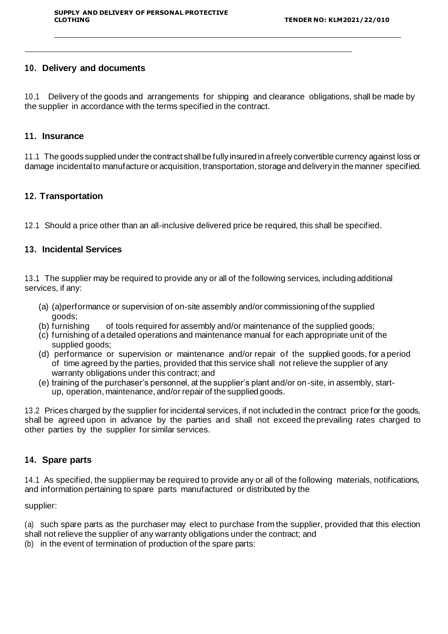## **10. Delivery and documents**

10.1 Delivery of the goods and arrangements for shipping and clearance obligations, shall be made by the supplier in accordance with the terms specified in the contract.

#### **11. Insurance**

11.1 The goods supplied under the contract shallbe fully insured in afreely convertible currency against loss or damage incidental to manufacture or acquisition, transportation, storage and delivery in the manner specified.

## **12. Transportation**

12.1 Should a price other than an all-inclusive delivered price be required, this shall be specified.

## **13. Incidental Services**

13.1 The supplier may be required to provide any or all of the following services, including additional services, if any:

- (a) (a) performance or supervision of on-site assembly and/or commissioning of the supplied
- goods;<br>b) furnishina) of tools required for assembly and/or maintenance of the supplied goods;
- (c) furnishing of a detailed operations and maintenance manual for each appropriate unit of the supplied goods;
- (d) performance or supervision or maintenance and/or repair of the supplied goods, for a period of time agreed by the parties, provided that this service shall not relieve the supplier of any warranty obligations under this contract; and
- (e) training of the purchaser's personnel, at the supplier's plant and/or on-site, in assembly, startup, operation, maintenance, and/or repair of the supplied goods.

13.2 Prices charged by the supplier for incidental services, if not included in the contract price for the goods, shall be agreed upon in advance by the parties and shall not exceed the prevailing rates charged to other parties by the supplier for similar services.

#### **14. Spare parts**

14.1 As specified, the supplier may be required to provide any or all of the following materials, notifications, and information pertaining to spare parts manufactured or distributed by the

supplier:

(a) such spare parts as the purchaser may elect to purchase from the supplier, provided that this election shall not relieve the supplier of any warranty obligations under the contract; and

(b) in the event of termination of production of the spare parts: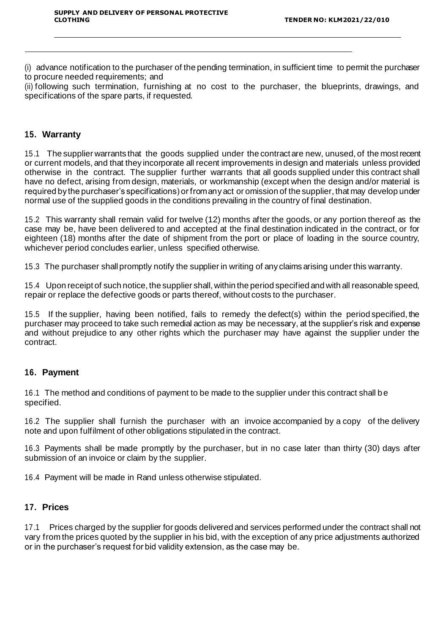(i) advance notification to the purchaser of the pending termination, in sufficient time to permit the purchaser to procure needed requirements; and

(ii) following such termination, furnishing at no cost to the purchaser, the blueprints, drawings, and specifications of the spare parts, if requested.

### **15. Warranty**

15.1 The supplier warrants that the goods supplied under the contract are new, unused, of the mostrecent or current models, and that they incorporate all recent improvements in design and materials unless provided otherwise in the contract. The supplier further warrants that all goods supplied under this contract shall have no defect, arising from design, materials, or workmanship (except when the design and/or material is required by the purchaser's specifications) or from any act or omission of the supplier, that may develop under normal use of the supplied goods in the conditions prevailing in the country of final destination.

15.2 This warranty shall remain valid for twelve (12) months after the goods, or any portion thereof as the case may be, have been delivered to and accepted at the final destination indicated in the contract, or for eighteen (18) months after the date of shipment from the port or place of loading in the source country, whichever period concludes earlier, unless specified otherwise.

15.3 The purchaser shall promptly notify the supplier in writing of any claims arising under this warranty.

15.4 Upon receipt of such notice, the supplier shall, within the period specified and with all reasonable speed, repair or replace the defective goods or parts thereof, without costs to the purchaser.

15.5 If the supplier, having been notified, fails to remedy the defect(s) within the period specified, the purchaser may proceed to take such remedial action as may be necessary, at the supplier's risk and expense and without prejudice to any other rights which the purchaser may have against the supplier under the contract.

### **16. Payment**

16.1 The method and conditions of payment to be made to the supplier under this contract shall be specified.

16.2 The supplier shall furnish the purchaser with an invoice accompanied by a copy of the delivery note and upon fulfilment of other obligations stipulated in the contract.

16.3 Payments shall be made promptly by the purchaser, but in no case later than thirty (30) days after submission of an invoice or claim by the supplier.

16.4 Payment will be made in Rand unless otherwise stipulated.

#### **17. Prices**

17.1 Prices charged by the supplier for goods delivered and services performed under the contract shall not vary from the prices quoted by the supplier in his bid, with the exception of any price adjustments authorized or in the purchaser's request for bid validity extension, as the case may be.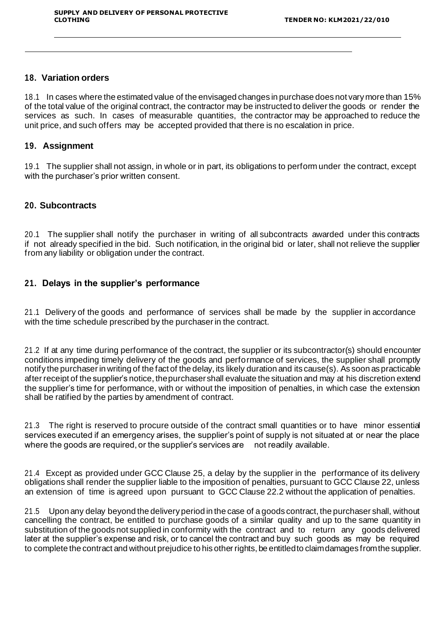#### **18. Variation orders**

18.1 In cases where the estimated value of the envisaged changes in purchase does not vary more than 15% of the total value of the original contract, the contractor may be instructed to deliver the goods or render the services as such. In cases of measurable quantities, the contractor may be approached to reduce the unit price, and such offers may be accepted provided that there is no escalation in price.

#### **19. Assignment**

19.1 The supplier shall not assign, in whole or in part, its obligations to perform under the contract, except with the purchaser's prior written consent.

#### **20. Subcontracts**

20.1 The supplier shall notify the purchaser in writing of all subcontracts awarded under this contracts if not already specified in the bid. Such notification, in the original bid or later, shall not relieve the supplier from any liability or obligation under the contract.

#### **21. Delays in the supplier's performance**

21.1 Delivery of the goods and performance of services shall be made by the supplier in accordance with the time schedule prescribed by the purchaser in the contract.

21.2 If at any time during performance of the contract, the supplier or its subcontractor(s) should encounter conditions impeding timely delivery of the goods and performance of services, the supplier shall promptly notify the purchaser in writing of the fact of the delay, its likely duration and its cause(s). As soon as practicable after receipt of the supplier's notice, thepurchasershall evaluate the situation and may at his discretion extend the supplier's time for performance, with or without the imposition of penalties, in which case the extension shall be ratified by the parties by amendment of contract.

21.3 The right is reserved to procure outside of the contract small quantities or to have minor essential services executed if an emergency arises, the supplier's point of supply is not situated at or near the place where the goods are required, or the supplier's services are not readily available.

21.4 Except as provided under GCC Clause 25, a delay by the supplier in the performance of its delivery obligations shall render the supplier liable to the imposition of penalties, pursuant to GCC Clause 22, unless an extension of time is agreed upon pursuant to GCC Clause 22.2 without the application of penalties.

21.5 Upon any delay beyond the delivery period in the case of a goods contract, the purchaser shall, without cancelling the contract, be entitled to purchase goods of a similar quality and up to the same quantity in substitution of the goods not supplied in conformity with the contract and to return any goods delivered later at the supplier's expense and risk, or to cancel the contract and buy such goods as may be required to complete the contract and without prejudice to his other rights, be entitledto claimdamages fromthe supplier.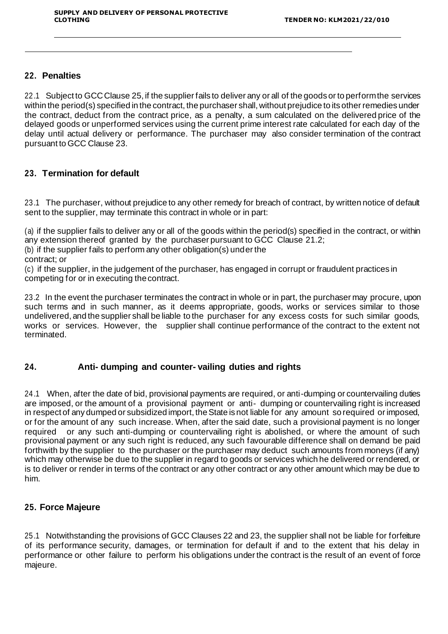### **22. Penalties**

22.1 Subject to GCC Clause 25, if the supplier fails to deliver any or all of the goods or to perform the services within the period(s) specified in the contract, the purchaser shall, without prejudice to its other remedies under the contract, deduct from the contract price, as a penalty, a sum calculated on the delivered price of the delayed goods or unperformed services using the current prime interest rate calculated for each day of the delay until actual delivery or performance. The purchaser may also consider termination of the contract pursuant to GCC Clause 23.

## **23. Termination for default**

23.1 The purchaser, without prejudice to any other remedy for breach of contract, by written notice of default sent to the supplier, may terminate this contract in whole or in part:

(a) if the supplier fails to deliver any or all of the goods within the period(s) specified in the contract, or within any extension thereof granted by the purchaser pursuant to GCC Clause 21.2;

(b) if the supplier fails to perform any other obligation(s) under the

contract; or

(c) if the supplier, in the judgement of the purchaser, has engaged in corrupt or fraudulent practices in competing for or in executing thecontract.

23.2 In the event the purchaser terminates the contract in whole or in part, the purchaser may procure, upon such terms and in such manner, as it deems appropriate, goods, works or services similar to those undelivered, and the supplier shall be liable to the purchaser for any excess costs for such similar goods, works or services. However, the supplier shall continue performance of the contract to the extent not terminated.

## **24. Anti- dumping and counter- vailing duties and rights**

24.1 When, after the date of bid, provisional payments are required, or anti-dumping or countervailing duties are imposed, or the amount of a provisional payment or anti- dumping or countervailing right is increased in respect of any dumped or subsidized import, the State is not liable for any amount so required or imposed, or for the amount of any such increase. When, after the said date, such a provisional payment is no longer required or any such anti-dumping or countervailing right is abolished, or where the amount of such provisional payment or any such right is reduced, any such favourable difference shall on demand be paid forthwith by the supplier to the purchaser or the purchaser may deduct such amounts from moneys (if any) which may otherwise be due to the supplier in regard to goods or services which he delivered or rendered, or is to deliver or render in terms of the contract or any other contract or any other amount which may be due to him.

## **25. Force Majeure**

25.1 Notwithstanding the provisions of GCC Clauses 22 and 23, the supplier shall not be liable for forfeiture of its performance security, damages, or termination for default if and to the extent that his delay in performance or other failure to perform his obligations under the contract is the result of an event of force majeure.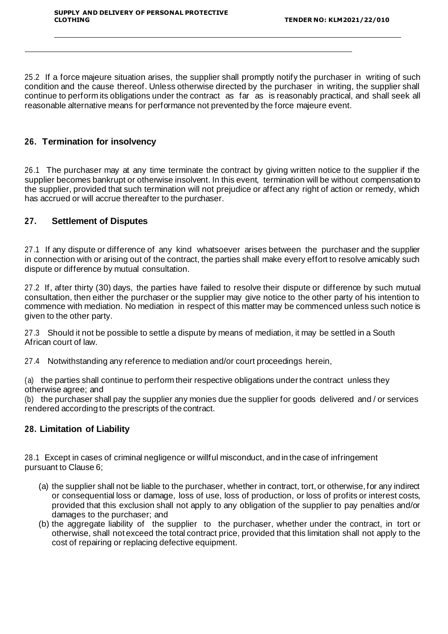25.2 If a force majeure situation arises, the supplier shall promptly notify the purchaser in writing of such condition and the cause thereof. Unless otherwise directed by the purchaser in writing, the supplier shall continue to perform its obligations under the contract as far as is reasonably practical, and shall seek all reasonable alternative means for performance not prevented by the force majeure event.

## **26. Termination for insolvency**

26.1 The purchaser may at any time terminate the contract by giving written notice to the supplier if the supplier becomes bankrupt or otherwise insolvent. In this event, termination will be without compensation to the supplier, provided that such termination will not prejudice or affect any right of action or remedy, which has accrued or will accrue thereafter to the purchaser.

## **27. Settlement of Disputes**

27.1 If any dispute or difference of any kind whatsoever arises between the purchaser and the supplier in connection with or arising out of the contract, the parties shall make every effort to resolve amicably such dispute or difference by mutual consultation.

27.2 If, after thirty (30) days, the parties have failed to resolve their dispute or difference by such mutual consultation, then either the purchaser or the supplier may give notice to the other party of his intention to commence with mediation. No mediation in respect of this matter may be commenced unless such notice is given to the other party.

27.3 Should it not be possible to settle a dispute by means of mediation, it may be settled in a South African court of law.

27.4 Notwithstanding any reference to mediation and/or court proceedings herein,

(a) the parties shall continue to perform their respective obligations under the contract unless they otherwise agree; and

(b) the purchaser shall pay the supplier any monies due the supplier for goods delivered and / or services rendered according to the prescripts of the contract.

#### **28. Limitation of Liability**

28.1 Except in cases of criminal negligence or willful misconduct, and in the case of infringement pursuant to Clause 6;

- (a) the supplier shall not be liable to the purchaser, whether in contract, tort, or otherwise, for any indirect or consequential loss or damage, loss of use, loss of production, or loss of profits or interest costs, provided that this exclusion shall not apply to any obligation of the supplier to pay penalties and/or damages to the purchaser; and
- (b) the aggregate liability of the supplier to the purchaser, whether under the contract, in tort or otherwise, shall not exceed the total contract price, provided that this limitation shall not apply to the cost of repairing or replacing defective equipment.